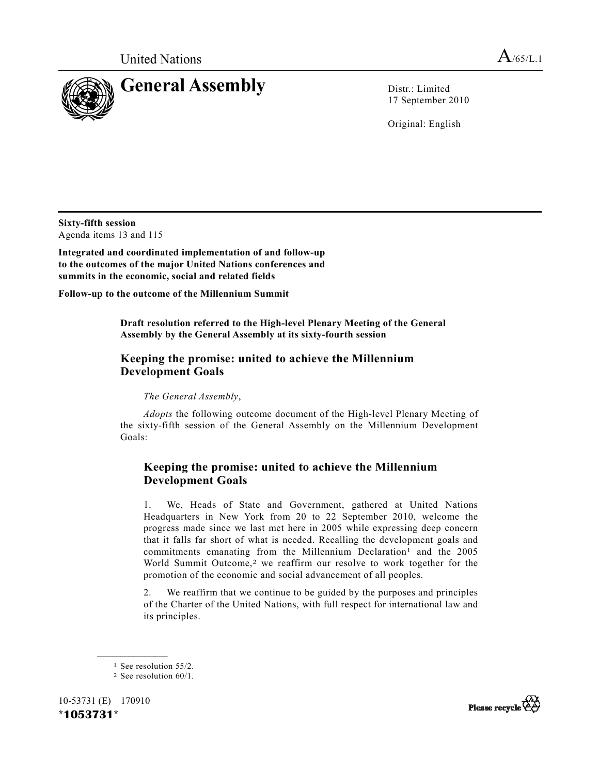

17 September 2010

Original: English

**Sixty-fifth session**  Agenda items 13 and 115

**Integrated and coordinated implementation of and follow-up to the outcomes of the major United Nations conferences and summits in the economic, social and related fields** 

**Follow-up to the outcome of the Millennium Summit** 

 **Draft resolution referred to the High-level Plenary Meeting of the General Assembly by the General Assembly at its sixty-fourth session** 

## **Keeping the promise: united to achieve the Millennium Development Goals**

*The General Assembly*,

*Adopts* the following outcome document of the High-level Plenary Meeting of the sixty-fifth session of the General Assembly on the Millennium Development Goals:

# **Keeping the promise: united to achieve the Millennium Development Goals**

 1. We, Heads of State and Government, gathered at United Nations Headquarters in New York from 20 to 22 September 2010, welcome the progress made since we last met here in 2005 while expressing deep concern that it falls far short of what is needed. Recalling the development goals and commitments emanating from the Millennium Declaration<sup>1</sup> and the 2005 World Summit Outcome,<sup>2</sup> we reaffirm our resolve to work together for the promotion of the economic and social advancement of all peoples.

 2. We reaffirm that we continue to be guided by the purposes and principles of the Charter of the United Nations, with full respect for international law and its principles.

**\_\_\_\_\_\_\_\_\_\_\_\_\_\_\_\_\_\_** 

10-53731 (E) 170910 **\*1053731\*** 



<sup>1</sup> See resolution 55/2.

<sup>2</sup> See resolution 60/1.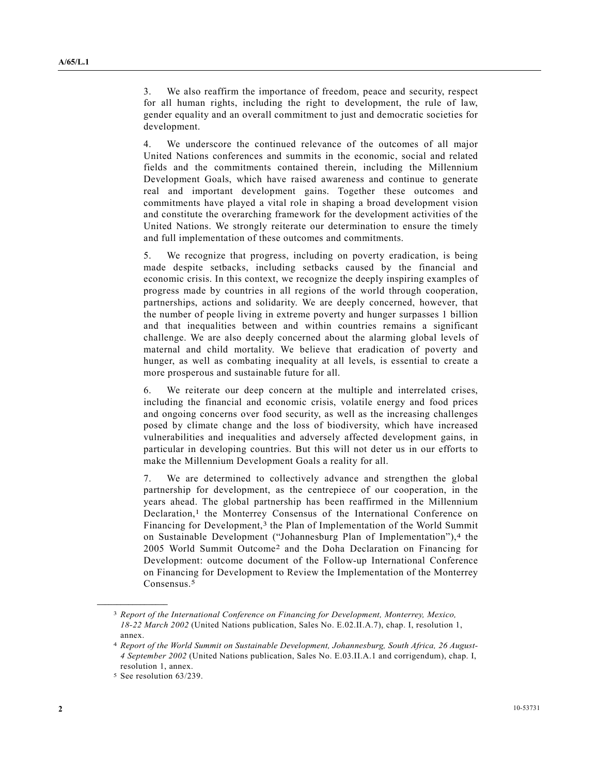3. We also reaffirm the importance of freedom, peace and security, respect for all human rights, including the right to development, the rule of law, gender equality and an overall commitment to just and democratic societies for development.

 4. We underscore the continued relevance of the outcomes of all major United Nations conferences and summits in the economic, social and related fields and the commitments contained therein, including the Millennium Development Goals, which have raised awareness and continue to generate real and important development gains. Together these outcomes and commitments have played a vital role in shaping a broad development vision and constitute the overarching framework for the development activities of the United Nations. We strongly reiterate our determination to ensure the timely and full implementation of these outcomes and commitments.

 5. We recognize that progress, including on poverty eradication, is being made despite setbacks, including setbacks caused by the financial and economic crisis. In this context, we recognize the deeply inspiring examples of progress made by countries in all regions of the world through cooperation, partnerships, actions and solidarity. We are deeply concerned, however, that the number of people living in extreme poverty and hunger surpasses 1 billion and that inequalities between and within countries remains a significant challenge. We are also deeply concerned about the alarming global levels of maternal and child mortality. We believe that eradication of poverty and hunger, as well as combating inequality at all levels, is essential to create a more prosperous and sustainable future for all.

 6. We reiterate our deep concern at the multiple and interrelated crises, including the financial and economic crisis, volatile energy and food prices and ongoing concerns over food security, as well as the increasing challenges posed by climate change and the loss of biodiversity, which have increased vulnerabilities and inequalities and adversely affected development gains, in particular in developing countries. But this will not deter us in our efforts to make the Millennium Development Goals a reality for all.

 7. We are determined to collectively advance and strengthen the global partnership for development, as the centrepiece of our cooperation, in the years ahead. The global partnership has been reaffirmed in the Millennium Declaration,<sup>1</sup> the Monterrey Consensus of the International Conference on Financing for Development,<sup>3</sup> the Plan of Implementation of the World Summit on Sustainable Development ("Johannesburg Plan of Implementation"),<sup>4</sup> the 2005 World Summit Outcome2 and the Doha Declaration on Financing for Development: outcome document of the Follow-up International Conference on Financing for Development to Review the Implementation of the Monterrey Consensus.<sup>5</sup>

<sup>3</sup> *Report of the International Conference on Financing for Development, Monterrey, Mexico, 18-22 March 2002* (United Nations publication, Sales No. E.02.II.A.7), chap. I, resolution 1, annex.

<sup>4</sup> *Report of the World Summit on Sustainable Development, Johannesburg, South Africa, 26 August-4 September 2002* (United Nations publication, Sales No. E.03.II.A.1 and corrigendum), chap. I, resolution 1, annex.

<sup>5</sup> See resolution 63/239.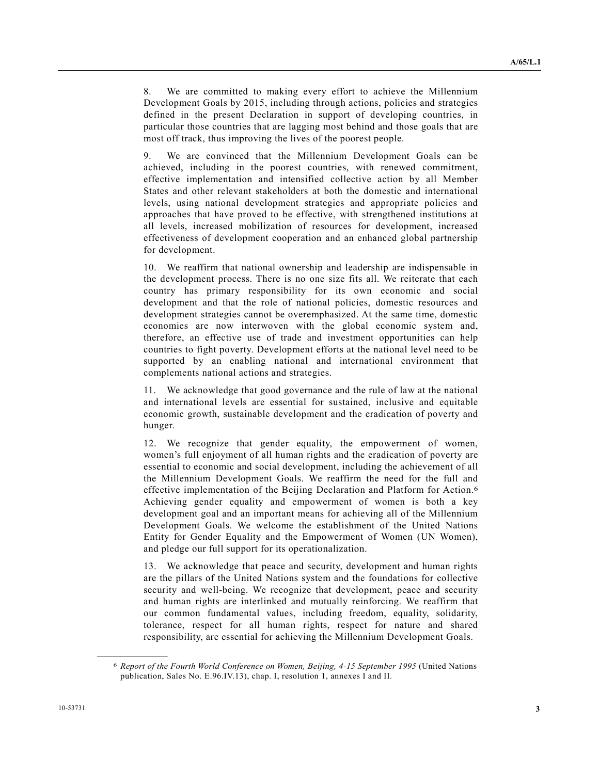8. We are committed to making every effort to achieve the Millennium Development Goals by 2015, including through actions, policies and strategies defined in the present Declaration in support of developing countries, in particular those countries that are lagging most behind and those goals that are most off track, thus improving the lives of the poorest people.

 9. We are convinced that the Millennium Development Goals can be achieved, including in the poorest countries, with renewed commitment, effective implementation and intensified collective action by all Member States and other relevant stakeholders at both the domestic and international levels, using national development strategies and appropriate policies and approaches that have proved to be effective, with strengthened institutions at all levels, increased mobilization of resources for development, increased effectiveness of development cooperation and an enhanced global partnership for development.

 10. We reaffirm that national ownership and leadership are indispensable in the development process. There is no one size fits all. We reiterate that each country has primary responsibility for its own economic and social development and that the role of national policies, domestic resources and development strategies cannot be overemphasized. At the same time, domestic economies are now interwoven with the global economic system and, therefore, an effective use of trade and investment opportunities can help countries to fight poverty. Development efforts at the national level need to be supported by an enabling national and international environment that complements national actions and strategies.

 11. We acknowledge that good governance and the rule of law at the national and international levels are essential for sustained, inclusive and equitable economic growth, sustainable development and the eradication of poverty and hunger.

 12. We recognize that gender equality, the empowerment of women, women's full enjoyment of all human rights and the eradication of poverty are essential to economic and social development, including the achievement of all the Millennium Development Goals. We reaffirm the need for the full and effective implementation of the Beijing Declaration and Platform for Action.6 Achieving gender equality and empowerment of women is both a key development goal and an important means for achieving all of the Millennium Development Goals. We welcome the establishment of the United Nations Entity for Gender Equality and the Empowerment of Women (UN Women), and pledge our full support for its operationalization.

 13. We acknowledge that peace and security, development and human rights are the pillars of the United Nations system and the foundations for collective security and well-being. We recognize that development, peace and security and human rights are interlinked and mutually reinforcing. We reaffirm that our common fundamental values, including freedom, equality, solidarity, tolerance, respect for all human rights, respect for nature and shared responsibility, are essential for achieving the Millennium Development Goals.

<sup>6</sup> *Report of the Fourth World Conference on Women, Beijing, 4-15 September 1995* (United Nations publication, Sales No. E.96.IV.13), chap. I, resolution 1, annexes I and II.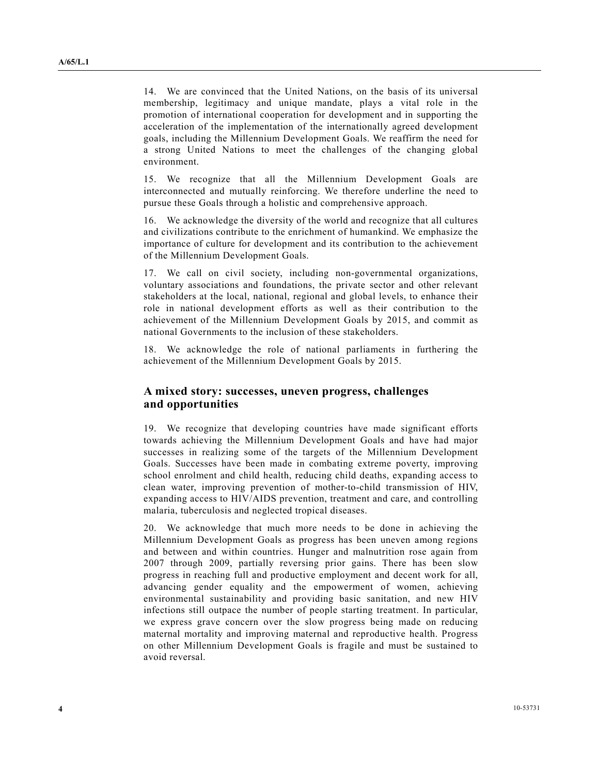14. We are convinced that the United Nations, on the basis of its universal membership, legitimacy and unique mandate, plays a vital role in the promotion of international cooperation for development and in supporting the acceleration of the implementation of the internationally agreed development goals, including the Millennium Development Goals. We reaffirm the need for a strong United Nations to meet the challenges of the changing global environment.

 15. We recognize that all the Millennium Development Goals are interconnected and mutually reinforcing. We therefore underline the need to pursue these Goals through a holistic and comprehensive approach.

 16. We acknowledge the diversity of the world and recognize that all cultures and civilizations contribute to the enrichment of humankind. We emphasize the importance of culture for development and its contribution to the achievement of the Millennium Development Goals.

 17. We call on civil society, including non-governmental organizations, voluntary associations and foundations, the private sector and other relevant stakeholders at the local, national, regional and global levels, to enhance their role in national development efforts as well as their contribution to the achievement of the Millennium Development Goals by 2015, and commit as national Governments to the inclusion of these stakeholders.

 18. We acknowledge the role of national parliaments in furthering the achievement of the Millennium Development Goals by 2015.

### **A mixed story: successes, uneven progress, challenges and opportunities**

 19. We recognize that developing countries have made significant efforts towards achieving the Millennium Development Goals and have had major successes in realizing some of the targets of the Millennium Development Goals. Successes have been made in combating extreme poverty, improving school enrolment and child health, reducing child deaths, expanding access to clean water, improving prevention of mother-to-child transmission of HIV, expanding access to HIV/AIDS prevention, treatment and care, and controlling malaria, tuberculosis and neglected tropical diseases.

 20. We acknowledge that much more needs to be done in achieving the Millennium Development Goals as progress has been uneven among regions and between and within countries. Hunger and malnutrition rose again from 2007 through 2009, partially reversing prior gains. There has been slow progress in reaching full and productive employment and decent work for all, advancing gender equality and the empowerment of women, achieving environmental sustainability and providing basic sanitation, and new HIV infections still outpace the number of people starting treatment. In particular, we express grave concern over the slow progress being made on reducing maternal mortality and improving maternal and reproductive health. Progress on other Millennium Development Goals is fragile and must be sustained to avoid reversal.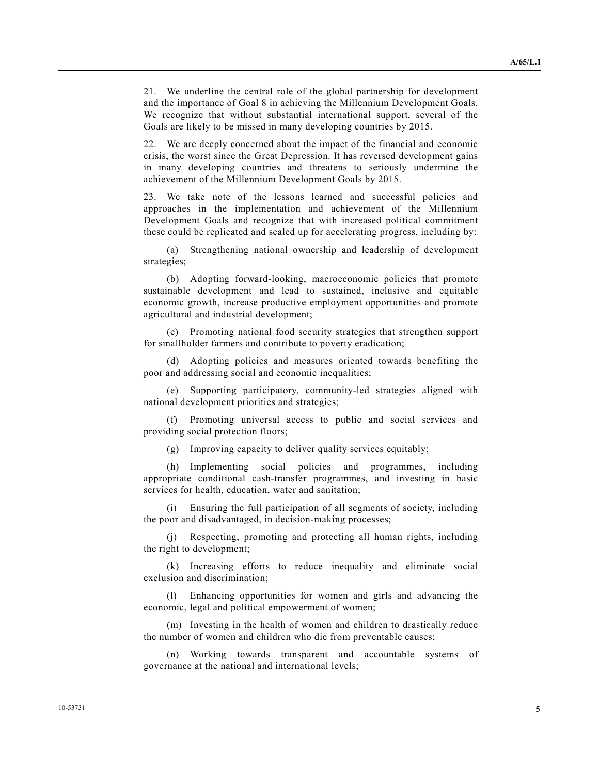21. We underline the central role of the global partnership for development and the importance of Goal 8 in achieving the Millennium Development Goals. We recognize that without substantial international support, several of the Goals are likely to be missed in many developing countries by 2015.

 22. We are deeply concerned about the impact of the financial and economic crisis, the worst since the Great Depression. It has reversed development gains in many developing countries and threatens to seriously undermine the achievement of the Millennium Development Goals by 2015.

 23. We take note of the lessons learned and successful policies and approaches in the implementation and achievement of the Millennium Development Goals and recognize that with increased political commitment these could be replicated and scaled up for accelerating progress, including by:

 (a) Strengthening national ownership and leadership of development strategies;

 (b) Adopting forward-looking, macroeconomic policies that promote sustainable development and lead to sustained, inclusive and equitable economic growth, increase productive employment opportunities and promote agricultural and industrial development;

 (c) Promoting national food security strategies that strengthen support for smallholder farmers and contribute to poverty eradication;

 (d) Adopting policies and measures oriented towards benefiting the poor and addressing social and economic inequalities;

 (e) Supporting participatory, community-led strategies aligned with national development priorities and strategies;

 (f) Promoting universal access to public and social services and providing social protection floors;

(g) Improving capacity to deliver quality services equitably;

 (h) Implementing social policies and programmes, including appropriate conditional cash-transfer programmes, and investing in basic services for health, education, water and sanitation;

Ensuring the full participation of all segments of society, including the poor and disadvantaged, in decision-making processes;

 (j) Respecting, promoting and protecting all human rights, including the right to development;

 (k) Increasing efforts to reduce inequality and eliminate social exclusion and discrimination;

 (l) Enhancing opportunities for women and girls and advancing the economic, legal and political empowerment of women;

 (m) Investing in the health of women and children to drastically reduce the number of women and children who die from preventable causes;

 (n) Working towards transparent and accountable systems of governance at the national and international levels;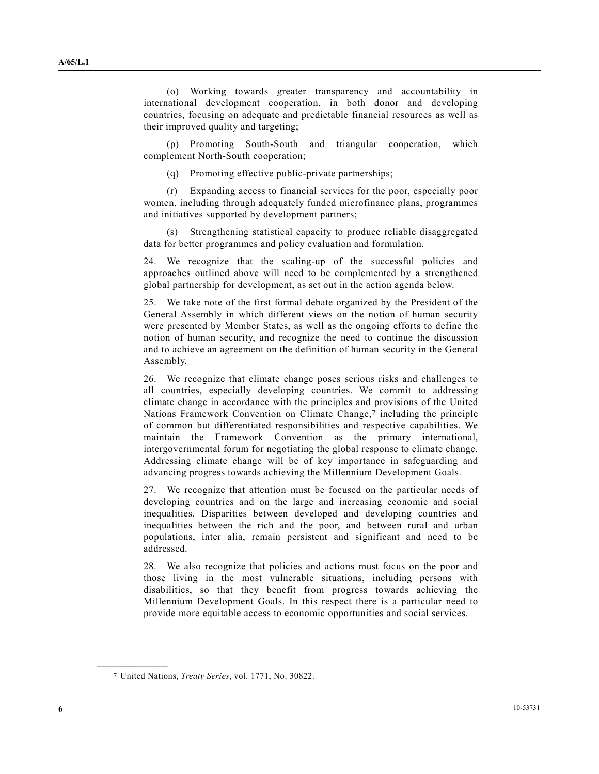(o) Working towards greater transparency and accountability in international development cooperation, in both donor and developing countries, focusing on adequate and predictable financial resources as well as their improved quality and targeting;

 (p) Promoting South-South and triangular cooperation, which complement North-South cooperation;

(q) Promoting effective public-private partnerships;

 (r) Expanding access to financial services for the poor, especially poor women, including through adequately funded microfinance plans, programmes and initiatives supported by development partners;

 (s) Strengthening statistical capacity to produce reliable disaggregated data for better programmes and policy evaluation and formulation.

 24. We recognize that the scaling-up of the successful policies and approaches outlined above will need to be complemented by a strengthened global partnership for development, as set out in the action agenda below.

 25. We take note of the first formal debate organized by the President of the General Assembly in which different views on the notion of human security were presented by Member States, as well as the ongoing efforts to define the notion of human security, and recognize the need to continue the discussion and to achieve an agreement on the definition of human security in the General Assembly.

 26. We recognize that climate change poses serious risks and challenges to all countries, especially developing countries. We commit to addressing climate change in accordance with the principles and provisions of the United Nations Framework Convention on Climate Change,7 including the principle of common but differentiated responsibilities and respective capabilities. We maintain the Framework Convention as the primary international, intergovernmental forum for negotiating the global response to climate change. Addressing climate change will be of key importance in safeguarding and advancing progress towards achieving the Millennium Development Goals.

 27. We recognize that attention must be focused on the particular needs of developing countries and on the large and increasing economic and social inequalities. Disparities between developed and developing countries and inequalities between the rich and the poor, and between rural and urban populations, inter alia, remain persistent and significant and need to be addressed.

 28. We also recognize that policies and actions must focus on the poor and those living in the most vulnerable situations, including persons with disabilities, so that they benefit from progress towards achieving the Millennium Development Goals. In this respect there is a particular need to provide more equitable access to economic opportunities and social services.

<sup>7</sup> United Nations, *Treaty Series*, vol. 1771, No. 30822.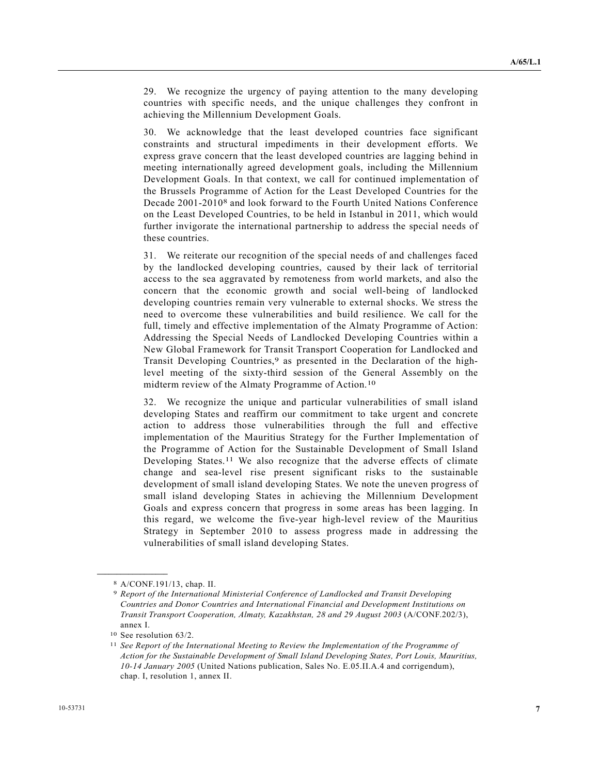29. We recognize the urgency of paying attention to the many developing countries with specific needs, and the unique challenges they confront in achieving the Millennium Development Goals.

 30. We acknowledge that the least developed countries face significant constraints and structural impediments in their development efforts. We express grave concern that the least developed countries are lagging behind in meeting internationally agreed development goals, including the Millennium Development Goals. In that context, we call for continued implementation of the Brussels Programme of Action for the Least Developed Countries for the Decade 2001-20108 and look forward to the Fourth United Nations Conference on the Least Developed Countries, to be held in Istanbul in 2011, which would further invigorate the international partnership to address the special needs of these countries.

 31. We reiterate our recognition of the special needs of and challenges faced by the landlocked developing countries, caused by their lack of territorial access to the sea aggravated by remoteness from world markets, and also the concern that the economic growth and social well-being of landlocked developing countries remain very vulnerable to external shocks. We stress the need to overcome these vulnerabilities and build resilience. We call for the full, timely and effective implementation of the Almaty Programme of Action: Addressing the Special Needs of Landlocked Developing Countries within a New Global Framework for Transit Transport Cooperation for Landlocked and Transit Developing Countries,<sup>9</sup> as presented in the Declaration of the highlevel meeting of the sixty-third session of the General Assembly on the midterm review of the Almaty Programme of Action.10

 32. We recognize the unique and particular vulnerabilities of small island developing States and reaffirm our commitment to take urgent and concrete action to address those vulnerabilities through the full and effective implementation of the Mauritius Strategy for the Further Implementation of the Programme of Action for the Sustainable Development of Small Island Developing States.<sup>11</sup> We also recognize that the adverse effects of climate change and sea-level rise present significant risks to the sustainable development of small island developing States. We note the uneven progress of small island developing States in achieving the Millennium Development Goals and express concern that progress in some areas has been lagging. In this regard, we welcome the five-year high-level review of the Mauritius Strategy in September 2010 to assess progress made in addressing the vulnerabilities of small island developing States.

<sup>8</sup> A/CONF.191/13, chap. II.

<sup>9</sup> *Report of the International Ministerial Conference of Landlocked and Transit Developing Countries and Donor Countries and International Financial and Development Institutions on Transit Transport Cooperation, Almaty, Kazakhstan, 28 and 29 August 2003* (A/CONF.202/3), annex I.

<sup>10</sup> See resolution 63/2.

<sup>11</sup> *See Report of the International Meeting to Review the Implementation of the Programme of Action for the Sustainable Development of Small Island Developing States, Port Louis, Mauritius, 10-14 January 2005* (United Nations publication, Sales No. E.05.II.A.4 and corrigendum), chap. I, resolution 1, annex II.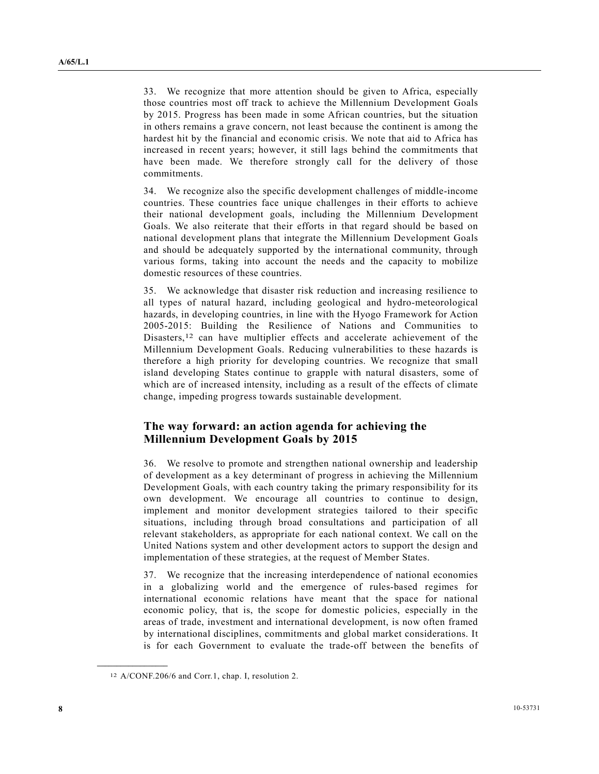33. We recognize that more attention should be given to Africa, especially those countries most off track to achieve the Millennium Development Goals by 2015. Progress has been made in some African countries, but the situation in others remains a grave concern, not least because the continent is among the hardest hit by the financial and economic crisis. We note that aid to Africa has increased in recent years; however, it still lags behind the commitments that have been made. We therefore strongly call for the delivery of those commitments.

 34. We recognize also the specific development challenges of middle-income countries. These countries face unique challenges in their efforts to achieve their national development goals, including the Millennium Development Goals. We also reiterate that their efforts in that regard should be based on national development plans that integrate the Millennium Development Goals and should be adequately supported by the international community, through various forms, taking into account the needs and the capacity to mobilize domestic resources of these countries.

 35. We acknowledge that disaster risk reduction and increasing resilience to all types of natural hazard, including geological and hydro-meteorological hazards, in developing countries, in line with the Hyogo Framework for Action 2005-2015: Building the Resilience of Nations and Communities to Disasters,<sup>12</sup> can have multiplier effects and accelerate achievement of the Millennium Development Goals. Reducing vulnerabilities to these hazards is therefore a high priority for developing countries. We recognize that small island developing States continue to grapple with natural disasters, some of which are of increased intensity, including as a result of the effects of climate change, impeding progress towards sustainable development.

### **The way forward: an action agenda for achieving the Millennium Development Goals by 2015**

 36. We resolve to promote and strengthen national ownership and leadership of development as a key determinant of progress in achieving the Millennium Development Goals, with each country taking the primary responsibility for its own development. We encourage all countries to continue to design, implement and monitor development strategies tailored to their specific situations, including through broad consultations and participation of all relevant stakeholders, as appropriate for each national context. We call on the United Nations system and other development actors to support the design and implementation of these strategies, at the request of Member States.

 37. We recognize that the increasing interdependence of national economies in a globalizing world and the emergence of rules-based regimes for international economic relations have meant that the space for national economic policy, that is, the scope for domestic policies, especially in the areas of trade, investment and international development, is now often framed by international disciplines, commitments and global market considerations. It is for each Government to evaluate the trade-off between the benefits of

<sup>12</sup> A/CONF.206/6 and Corr.1, chap. I, resolution 2.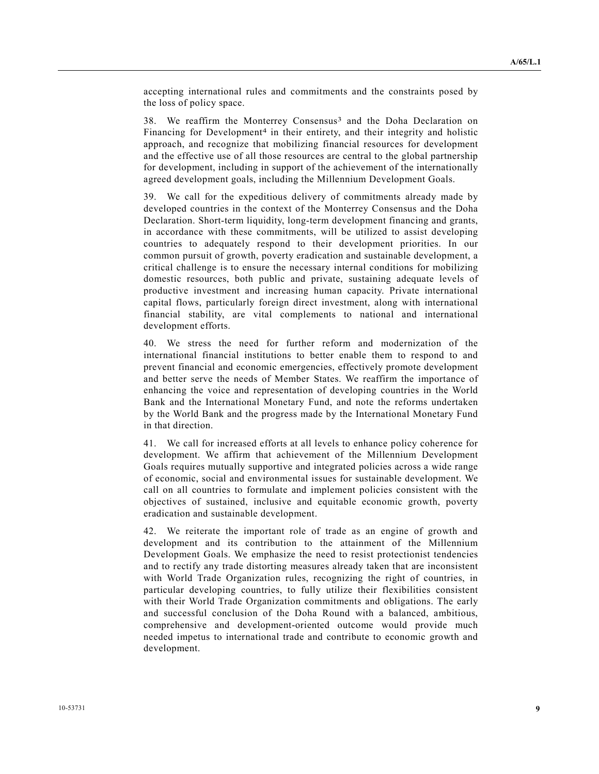accepting international rules and commitments and the constraints posed by the loss of policy space.

38. We reaffirm the Monterrey Consensus<sup>3</sup> and the Doha Declaration on Financing for Development<sup>4</sup> in their entirety, and their integrity and holistic approach, and recognize that mobilizing financial resources for development and the effective use of all those resources are central to the global partnership for development, including in support of the achievement of the internationally agreed development goals, including the Millennium Development Goals.

 39. We call for the expeditious delivery of commitments already made by developed countries in the context of the Monterrey Consensus and the Doha Declaration. Short-term liquidity, long-term development financing and grants, in accordance with these commitments, will be utilized to assist developing countries to adequately respond to their development priorities. In our common pursuit of growth, poverty eradication and sustainable development, a critical challenge is to ensure the necessary internal conditions for mobilizing domestic resources, both public and private, sustaining adequate levels of productive investment and increasing human capacity. Private international capital flows, particularly foreign direct investment, along with international financial stability, are vital complements to national and international development efforts.

 40. We stress the need for further reform and modernization of the international financial institutions to better enable them to respond to and prevent financial and economic emergencies, effectively promote development and better serve the needs of Member States. We reaffirm the importance of enhancing the voice and representation of developing countries in the World Bank and the International Monetary Fund, and note the reforms undertaken by the World Bank and the progress made by the International Monetary Fund in that direction.

 41. We call for increased efforts at all levels to enhance policy coherence for development. We affirm that achievement of the Millennium Development Goals requires mutually supportive and integrated policies across a wide range of economic, social and environmental issues for sustainable development. We call on all countries to formulate and implement policies consistent with the objectives of sustained, inclusive and equitable economic growth, poverty eradication and sustainable development.

 42. We reiterate the important role of trade as an engine of growth and development and its contribution to the attainment of the Millennium Development Goals. We emphasize the need to resist protectionist tendencies and to rectify any trade distorting measures already taken that are inconsistent with World Trade Organization rules, recognizing the right of countries, in particular developing countries, to fully utilize their flexibilities consistent with their World Trade Organization commitments and obligations. The early and successful conclusion of the Doha Round with a balanced, ambitious, comprehensive and development-oriented outcome would provide much needed impetus to international trade and contribute to economic growth and development.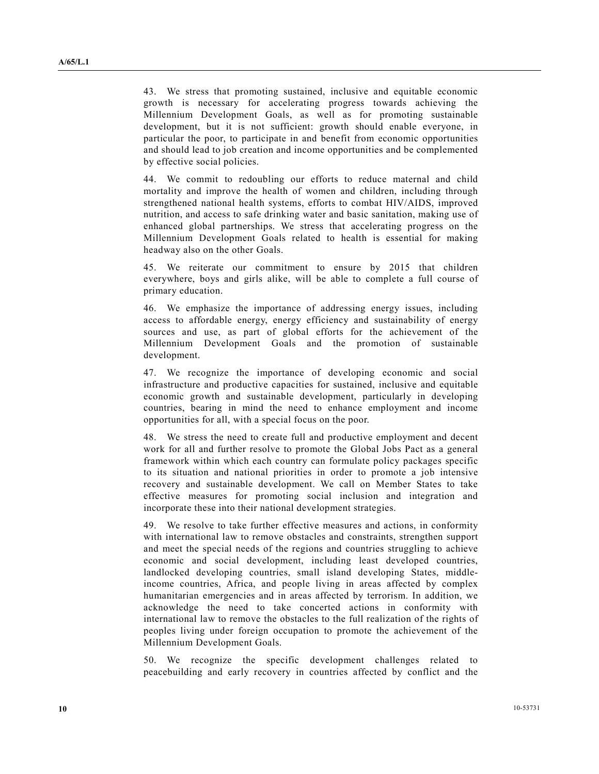43. We stress that promoting sustained, inclusive and equitable economic growth is necessary for accelerating progress towards achieving the Millennium Development Goals, as well as for promoting sustainable development, but it is not sufficient: growth should enable everyone, in particular the poor, to participate in and benefit from economic opportunities and should lead to job creation and income opportunities and be complemented by effective social policies.

 44. We commit to redoubling our efforts to reduce maternal and child mortality and improve the health of women and children, including through strengthened national health systems, efforts to combat HIV/AIDS, improved nutrition, and access to safe drinking water and basic sanitation, making use of enhanced global partnerships. We stress that accelerating progress on the Millennium Development Goals related to health is essential for making headway also on the other Goals.

 45. We reiterate our commitment to ensure by 2015 that children everywhere, boys and girls alike, will be able to complete a full course of primary education.

 46. We emphasize the importance of addressing energy issues, including access to affordable energy, energy efficiency and sustainability of energy sources and use, as part of global efforts for the achievement of the Millennium Development Goals and the promotion of sustainable development.

 47. We recognize the importance of developing economic and social infrastructure and productive capacities for sustained, inclusive and equitable economic growth and sustainable development, particularly in developing countries, bearing in mind the need to enhance employment and income opportunities for all, with a special focus on the poor.

 48. We stress the need to create full and productive employment and decent work for all and further resolve to promote the Global Jobs Pact as a general framework within which each country can formulate policy packages specific to its situation and national priorities in order to promote a job intensive recovery and sustainable development. We call on Member States to take effective measures for promoting social inclusion and integration and incorporate these into their national development strategies.

 49. We resolve to take further effective measures and actions, in conformity with international law to remove obstacles and constraints, strengthen support and meet the special needs of the regions and countries struggling to achieve economic and social development, including least developed countries, landlocked developing countries, small island developing States, middleincome countries, Africa, and people living in areas affected by complex humanitarian emergencies and in areas affected by terrorism. In addition, we acknowledge the need to take concerted actions in conformity with international law to remove the obstacles to the full realization of the rights of peoples living under foreign occupation to promote the achievement of the Millennium Development Goals.

 50. We recognize the specific development challenges related to peacebuilding and early recovery in countries affected by conflict and the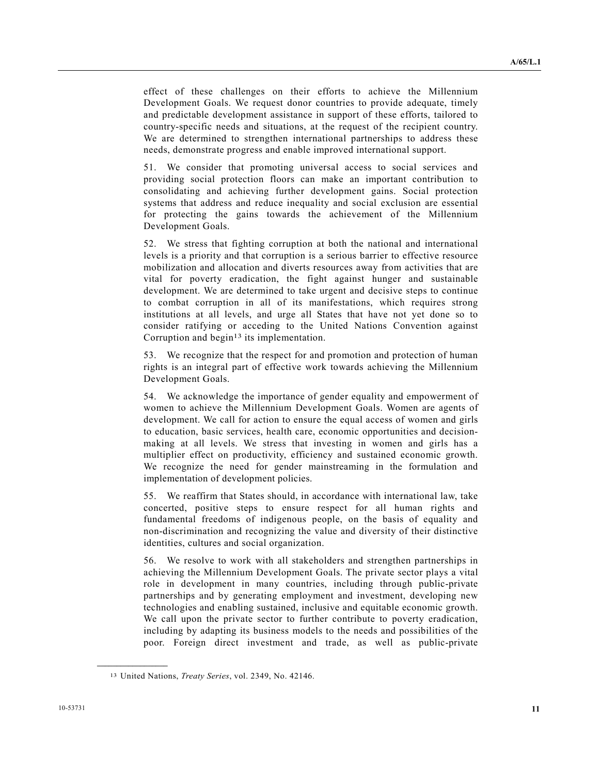effect of these challenges on their efforts to achieve the Millennium Development Goals. We request donor countries to provide adequate, timely and predictable development assistance in support of these efforts, tailored to country-specific needs and situations, at the request of the recipient country. We are determined to strengthen international partnerships to address these needs, demonstrate progress and enable improved international support.

 51. We consider that promoting universal access to social services and providing social protection floors can make an important contribution to consolidating and achieving further development gains. Social protection systems that address and reduce inequality and social exclusion are essential for protecting the gains towards the achievement of the Millennium Development Goals.

 52. We stress that fighting corruption at both the national and international levels is a priority and that corruption is a serious barrier to effective resource mobilization and allocation and diverts resources away from activities that are vital for poverty eradication, the fight against hunger and sustainable development. We are determined to take urgent and decisive steps to continue to combat corruption in all of its manifestations, which requires strong institutions at all levels, and urge all States that have not yet done so to consider ratifying or acceding to the United Nations Convention against Corruption and begin<sup>13</sup> its implementation.

 53. We recognize that the respect for and promotion and protection of human rights is an integral part of effective work towards achieving the Millennium Development Goals.

 54. We acknowledge the importance of gender equality and empowerment of women to achieve the Millennium Development Goals. Women are agents of development. We call for action to ensure the equal access of women and girls to education, basic services, health care, economic opportunities and decisionmaking at all levels. We stress that investing in women and girls has a multiplier effect on productivity, efficiency and sustained economic growth. We recognize the need for gender mainstreaming in the formulation and implementation of development policies.

 55. We reaffirm that States should, in accordance with international law, take concerted, positive steps to ensure respect for all human rights and fundamental freedoms of indigenous people, on the basis of equality and non-discrimination and recognizing the value and diversity of their distinctive identities, cultures and social organization.

 56. We resolve to work with all stakeholders and strengthen partnerships in achieving the Millennium Development Goals. The private sector plays a vital role in development in many countries, including through public-private partnerships and by generating employment and investment, developing new technologies and enabling sustained, inclusive and equitable economic growth. We call upon the private sector to further contribute to poverty eradication, including by adapting its business models to the needs and possibilities of the poor. Foreign direct investment and trade, as well as public-private

<sup>13</sup> United Nations, *Treaty Series*, vol. 2349, No. 42146.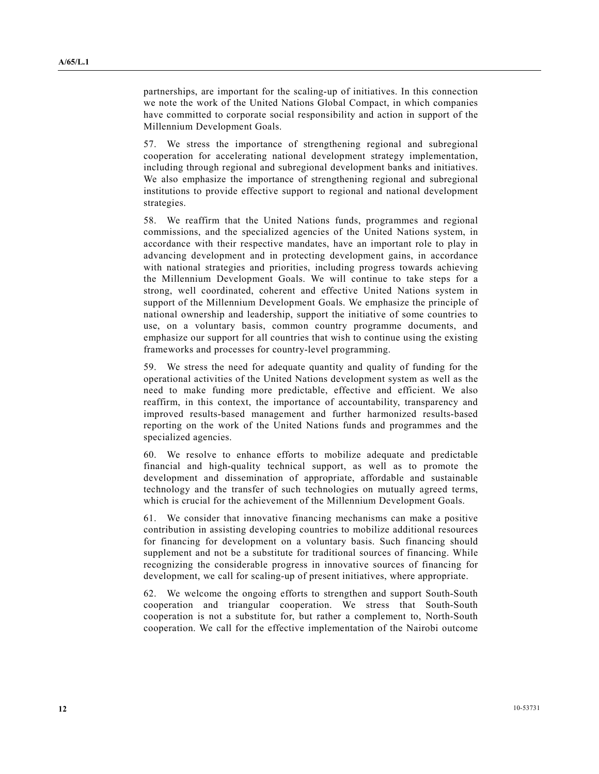partnerships, are important for the scaling-up of initiatives. In this connection we note the work of the United Nations Global Compact, in which companies have committed to corporate social responsibility and action in support of the Millennium Development Goals.

 57. We stress the importance of strengthening regional and subregional cooperation for accelerating national development strategy implementation, including through regional and subregional development banks and initiatives. We also emphasize the importance of strengthening regional and subregional institutions to provide effective support to regional and national development strategies.

 58. We reaffirm that the United Nations funds, programmes and regional commissions, and the specialized agencies of the United Nations system, in accordance with their respective mandates, have an important role to play in advancing development and in protecting development gains, in accordance with national strategies and priorities, including progress towards achieving the Millennium Development Goals. We will continue to take steps for a strong, well coordinated, coherent and effective United Nations system in support of the Millennium Development Goals. We emphasize the principle of national ownership and leadership, support the initiative of some countries to use, on a voluntary basis, common country programme documents, and emphasize our support for all countries that wish to continue using the existing frameworks and processes for country-level programming.

 59. We stress the need for adequate quantity and quality of funding for the operational activities of the United Nations development system as well as the need to make funding more predictable, effective and efficient. We also reaffirm, in this context, the importance of accountability, transparency and improved results-based management and further harmonized results-based reporting on the work of the United Nations funds and programmes and the specialized agencies.

 60. We resolve to enhance efforts to mobilize adequate and predictable financial and high-quality technical support, as well as to promote the development and dissemination of appropriate, affordable and sustainable technology and the transfer of such technologies on mutually agreed terms, which is crucial for the achievement of the Millennium Development Goals.

 61. We consider that innovative financing mechanisms can make a positive contribution in assisting developing countries to mobilize additional resources for financing for development on a voluntary basis. Such financing should supplement and not be a substitute for traditional sources of financing. While recognizing the considerable progress in innovative sources of financing for development, we call for scaling-up of present initiatives, where appropriate.

 62. We welcome the ongoing efforts to strengthen and support South-South cooperation and triangular cooperation. We stress that South-South cooperation is not a substitute for, but rather a complement to, North-South cooperation. We call for the effective implementation of the Nairobi outcome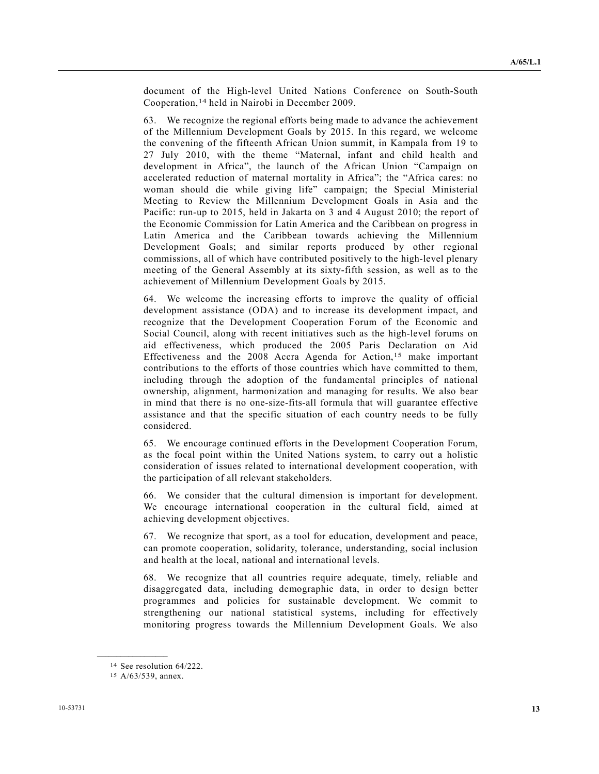document of the High-level United Nations Conference on South-South Cooperation,14 held in Nairobi in December 2009.

 63. We recognize the regional efforts being made to advance the achievement of the Millennium Development Goals by 2015. In this regard, we welcome the convening of the fifteenth African Union summit, in Kampala from 19 to 27 July 2010, with the theme "Maternal, infant and child health and development in Africa", the launch of the African Union "Campaign on accelerated reduction of maternal mortality in Africa"; the "Africa cares: no woman should die while giving life" campaign; the Special Ministerial Meeting to Review the Millennium Development Goals in Asia and the Pacific: run-up to 2015, held in Jakarta on 3 and 4 August 2010; the report of the Economic Commission for Latin America and the Caribbean on progress in Latin America and the Caribbean towards achieving the Millennium Development Goals; and similar reports produced by other regional commissions, all of which have contributed positively to the high-level plenary meeting of the General Assembly at its sixty-fifth session, as well as to the achievement of Millennium Development Goals by 2015.

 64. We welcome the increasing efforts to improve the quality of official development assistance (ODA) and to increase its development impact, and recognize that the Development Cooperation Forum of the Economic and Social Council, along with recent initiatives such as the high-level forums on aid effectiveness, which produced the 2005 Paris Declaration on Aid Effectiveness and the 2008 Accra Agenda for Action,<sup>15</sup> make important contributions to the efforts of those countries which have committed to them, including through the adoption of the fundamental principles of national ownership, alignment, harmonization and managing for results. We also bear in mind that there is no one-size-fits-all formula that will guarantee effective assistance and that the specific situation of each country needs to be fully considered.

 65. We encourage continued efforts in the Development Cooperation Forum, as the focal point within the United Nations system, to carry out a holistic consideration of issues related to international development cooperation, with the participation of all relevant stakeholders.

 66. We consider that the cultural dimension is important for development. We encourage international cooperation in the cultural field, aimed at achieving development objectives.

 67. We recognize that sport, as a tool for education, development and peace, can promote cooperation, solidarity, tolerance, understanding, social inclusion and health at the local, national and international levels.

 68. We recognize that all countries require adequate, timely, reliable and disaggregated data, including demographic data, in order to design better programmes and policies for sustainable development. We commit to strengthening our national statistical systems, including for effectively monitoring progress towards the Millennium Development Goals. We also

<sup>14</sup> See resolution 64/222.

<sup>15</sup> A/63/539, annex.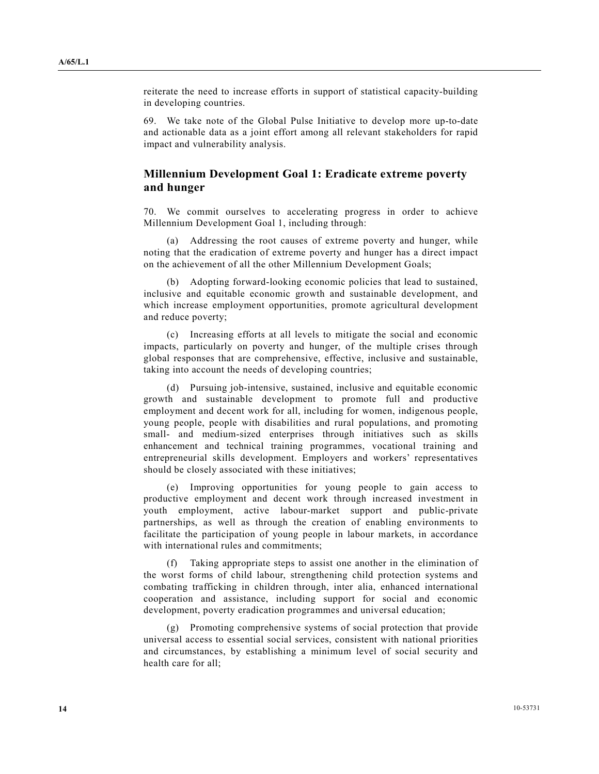reiterate the need to increase efforts in support of statistical capacity-building in developing countries.

 69. We take note of the Global Pulse Initiative to develop more up-to-date and actionable data as a joint effort among all relevant stakeholders for rapid impact and vulnerability analysis.

### **Millennium Development Goal 1: Eradicate extreme poverty and hunger**

 70. We commit ourselves to accelerating progress in order to achieve Millennium Development Goal 1, including through:

 (a) Addressing the root causes of extreme poverty and hunger, while noting that the eradication of extreme poverty and hunger has a direct impact on the achievement of all the other Millennium Development Goals;

 (b) Adopting forward-looking economic policies that lead to sustained, inclusive and equitable economic growth and sustainable development, and which increase employment opportunities, promote agricultural development and reduce poverty;

 (c) Increasing efforts at all levels to mitigate the social and economic impacts, particularly on poverty and hunger, of the multiple crises through global responses that are comprehensive, effective, inclusive and sustainable, taking into account the needs of developing countries;

 (d) Pursuing job-intensive, sustained, inclusive and equitable economic growth and sustainable development to promote full and productive employment and decent work for all, including for women, indigenous people, young people, people with disabilities and rural populations, and promoting small- and medium-sized enterprises through initiatives such as skills enhancement and technical training programmes, vocational training and entrepreneurial skills development. Employers and workers' representatives should be closely associated with these initiatives;

 (e) Improving opportunities for young people to gain access to productive employment and decent work through increased investment in youth employment, active labour-market support and public-private partnerships, as well as through the creation of enabling environments to facilitate the participation of young people in labour markets, in accordance with international rules and commitments;

 (f) Taking appropriate steps to assist one another in the elimination of the worst forms of child labour, strengthening child protection systems and combating trafficking in children through, inter alia, enhanced international cooperation and assistance, including support for social and economic development, poverty eradication programmes and universal education;

 (g) Promoting comprehensive systems of social protection that provide universal access to essential social services, consistent with national priorities and circumstances, by establishing a minimum level of social security and health care for all;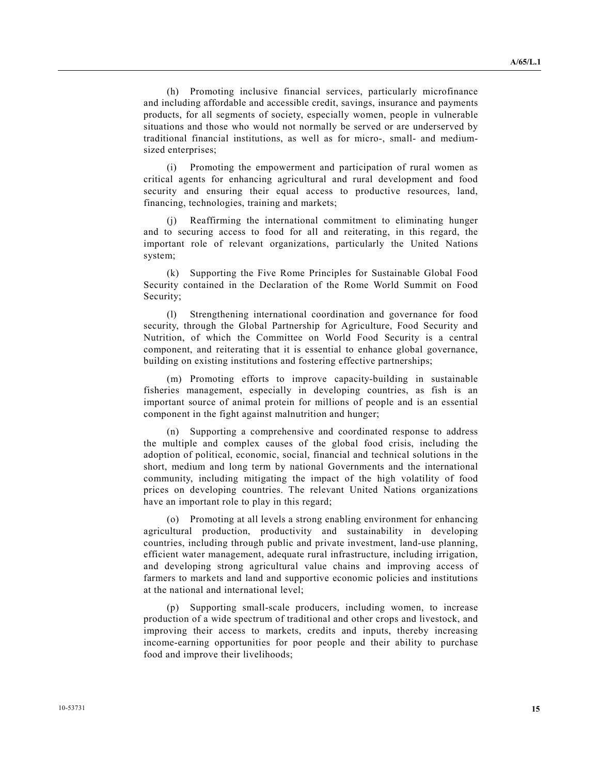(h) Promoting inclusive financial services, particularly microfinance and including affordable and accessible credit, savings, insurance and payments products, for all segments of society, especially women, people in vulnerable situations and those who would not normally be served or are underserved by traditional financial institutions, as well as for micro-, small- and mediumsized enterprises;

 (i) Promoting the empowerment and participation of rural women as critical agents for enhancing agricultural and rural development and food security and ensuring their equal access to productive resources, land, financing, technologies, training and markets;

 (j) Reaffirming the international commitment to eliminating hunger and to securing access to food for all and reiterating, in this regard, the important role of relevant organizations, particularly the United Nations system;

 (k) Supporting the Five Rome Principles for Sustainable Global Food Security contained in the Declaration of the Rome World Summit on Food Security;

 (l) Strengthening international coordination and governance for food security, through the Global Partnership for Agriculture, Food Security and Nutrition, of which the Committee on World Food Security is a central component, and reiterating that it is essential to enhance global governance, building on existing institutions and fostering effective partnerships;

 (m) Promoting efforts to improve capacity-building in sustainable fisheries management, especially in developing countries, as fish is an important source of animal protein for millions of people and is an essential component in the fight against malnutrition and hunger;

 (n) Supporting a comprehensive and coordinated response to address the multiple and complex causes of the global food crisis, including the adoption of political, economic, social, financial and technical solutions in the short, medium and long term by national Governments and the international community, including mitigating the impact of the high volatility of food prices on developing countries. The relevant United Nations organizations have an important role to play in this regard;

 (o) Promoting at all levels a strong enabling environment for enhancing agricultural production, productivity and sustainability in developing countries, including through public and private investment, land-use planning, efficient water management, adequate rural infrastructure, including irrigation, and developing strong agricultural value chains and improving access of farmers to markets and land and supportive economic policies and institutions at the national and international level;

 (p) Supporting small-scale producers, including women, to increase production of a wide spectrum of traditional and other crops and livestock, and improving their access to markets, credits and inputs, thereby increasing income-earning opportunities for poor people and their ability to purchase food and improve their livelihoods;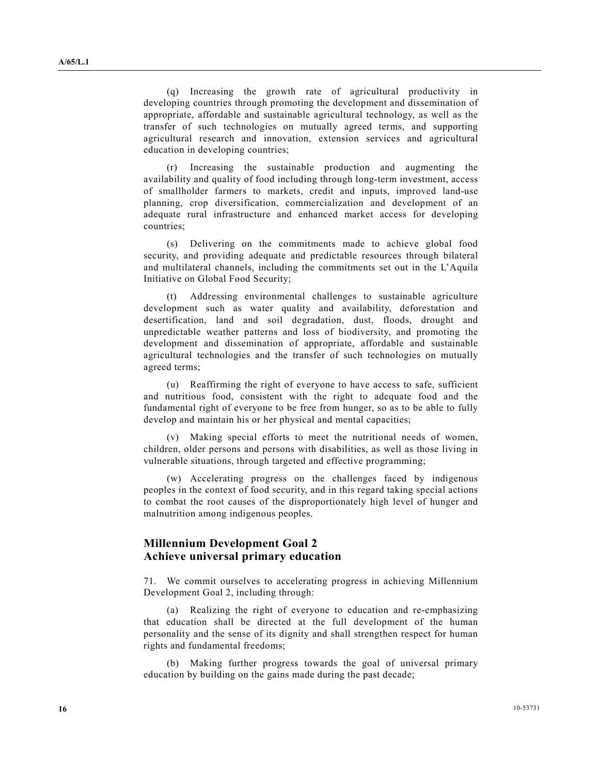(q) Increasing the growth rate of agricultural productivity in developing countries through promoting the development and dissemination of appropriate, affordable and sustainable agricultural technology, as well as the transfer of such technologies on mutually agreed terms, and supporting agricultural research and innovation, extension services and agricultural education in developing countries;

 (r) Increasing the sustainable production and augmenting the availability and quality of food including through long-term investment, access of smallholder farmers to markets, credit and inputs, improved land-use planning, crop diversification, commercialization and development of an adequate rural infrastructure and enhanced market access for developing countries;

 (s) Delivering on the commitments made to achieve global food security, and providing adequate and predictable resources through bilateral and multilateral channels, including the commitments set out in the L'Aquila Initiative on Global Food Security;

 (t) Addressing environmental challenges to sustainable agriculture development such as water quality and availability, deforestation and desertification, land and soil degradation, dust, floods, drought and unpredictable weather patterns and loss of biodiversity, and promoting the development and dissemination of appropriate, affordable and sustainable agricultural technologies and the transfer of such technologies on mutually agreed terms;

 (u) Reaffirming the right of everyone to have access to safe, sufficient and nutritious food, consistent with the right to adequate food and the fundamental right of everyone to be free from hunger, so as to be able to fully develop and maintain his or her physical and mental capacities;

 (v) Making special efforts to meet the nutritional needs of women, children, older persons and persons with disabilities, as well as those living in vulnerable situations, through targeted and effective programming;

 (w) Accelerating progress on the challenges faced by indigenous peoples in the context of food security, and in this regard taking special actions to combat the root causes of the disproportionately high level of hunger and malnutrition among indigenous peoples.

## **Millennium Development Goal 2 Achieve universal primary education**

 71. We commit ourselves to accelerating progress in achieving Millennium Development Goal 2, including through:

 (a) Realizing the right of everyone to education and re-emphasizing that education shall be directed at the full development of the human personality and the sense of its dignity and shall strengthen respect for human rights and fundamental freedoms;

 (b) Making further progress towards the goal of universal primary education by building on the gains made during the past decade;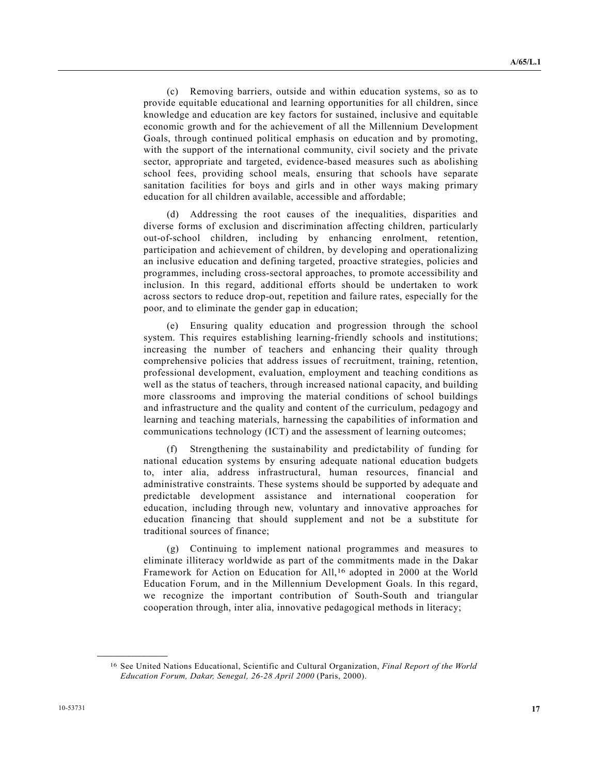(c) Removing barriers, outside and within education systems, so as to provide equitable educational and learning opportunities for all children, since knowledge and education are key factors for sustained, inclusive and equitable economic growth and for the achievement of all the Millennium Development Goals, through continued political emphasis on education and by promoting, with the support of the international community, civil society and the private sector, appropriate and targeted, evidence-based measures such as abolishing school fees, providing school meals, ensuring that schools have separate sanitation facilities for boys and girls and in other ways making primary education for all children available, accessible and affordable;

 (d) Addressing the root causes of the inequalities, disparities and diverse forms of exclusion and discrimination affecting children, particularly out-of-school children, including by enhancing enrolment, retention, participation and achievement of children, by developing and operationalizing an inclusive education and defining targeted, proactive strategies, policies and programmes, including cross-sectoral approaches, to promote accessibility and inclusion. In this regard, additional efforts should be undertaken to work across sectors to reduce drop-out, repetition and failure rates, especially for the poor, and to eliminate the gender gap in education;

 (e) Ensuring quality education and progression through the school system. This requires establishing learning-friendly schools and institutions; increasing the number of teachers and enhancing their quality through comprehensive policies that address issues of recruitment, training, retention, professional development, evaluation, employment and teaching conditions as well as the status of teachers, through increased national capacity, and building more classrooms and improving the material conditions of school buildings and infrastructure and the quality and content of the curriculum, pedagogy and learning and teaching materials, harnessing the capabilities of information and communications technology (ICT) and the assessment of learning outcomes;

 (f) Strengthening the sustainability and predictability of funding for national education systems by ensuring adequate national education budgets to, inter alia, address infrastructural, human resources, financial and administrative constraints. These systems should be supported by adequate and predictable development assistance and international cooperation for education, including through new, voluntary and innovative approaches for education financing that should supplement and not be a substitute for traditional sources of finance;

 (g) Continuing to implement national programmes and measures to eliminate illiteracy worldwide as part of the commitments made in the Dakar Framework for Action on Education for All,16 adopted in 2000 at the World Education Forum, and in the Millennium Development Goals. In this regard, we recognize the important contribution of South-South and triangular cooperation through, inter alia, innovative pedagogical methods in literacy;

<sup>16</sup> See United Nations Educational, Scientific and Cultural Organization, *Final Report of the World Education Forum, Dakar, Senegal, 26-28 April 2000* (Paris, 2000).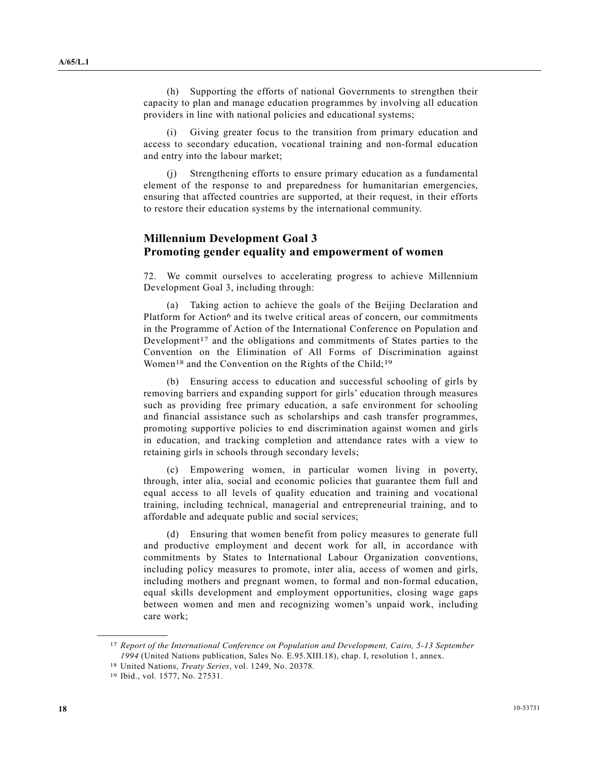(h) Supporting the efforts of national Governments to strengthen their capacity to plan and manage education programmes by involving all education providers in line with national policies and educational systems;

 (i) Giving greater focus to the transition from primary education and access to secondary education, vocational training and non-formal education and entry into the labour market;

 (j) Strengthening efforts to ensure primary education as a fundamental element of the response to and preparedness for humanitarian emergencies, ensuring that affected countries are supported, at their request, in their efforts to restore their education systems by the international community.

#### **Millennium Development Goal 3 Promoting gender equality and empowerment of women**

 72. We commit ourselves to accelerating progress to achieve Millennium Development Goal 3, including through:

 (a) Taking action to achieve the goals of the Beijing Declaration and Platform for Action<sup>6</sup> and its twelve critical areas of concern, our commitments in the Programme of Action of the International Conference on Population and Development<sup>17</sup> and the obligations and commitments of States parties to the Convention on the Elimination of All Forms of Discrimination against Women<sup>18</sup> and the Convention on the Rights of the Child;<sup>19</sup>

 (b) Ensuring access to education and successful schooling of girls by removing barriers and expanding support for girls' education through measures such as providing free primary education, a safe environment for schooling and financial assistance such as scholarships and cash transfer programmes, promoting supportive policies to end discrimination against women and girls in education, and tracking completion and attendance rates with a view to retaining girls in schools through secondary levels;

 (c) Empowering women, in particular women living in poverty, through, inter alia, social and economic policies that guarantee them full and equal access to all levels of quality education and training and vocational training, including technical, managerial and entrepreneurial training, and to affordable and adequate public and social services;

 (d) Ensuring that women benefit from policy measures to generate full and productive employment and decent work for all, in accordance with commitments by States to International Labour Organization conventions, including policy measures to promote, inter alia, access of women and girls, including mothers and pregnant women, to formal and non-formal education, equal skills development and employment opportunities, closing wage gaps between women and men and recognizing women's unpaid work, including care work;

<sup>17</sup> *Report of the International Conference on Population and Development, Cairo, 5-13 September 1994* (United Nations publication, Sales No. E.95.XIII.18), chap. I, resolution 1, annex.

<sup>18</sup> United Nations, *Treaty Series*, vol. 1249, No. 20378.

<sup>19</sup> Ibid., vol. 1577, No. 27531.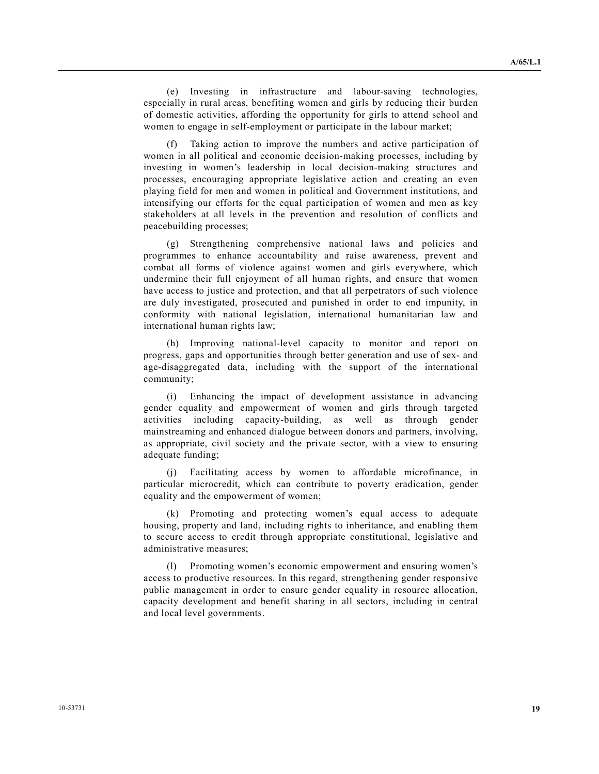(e) Investing in infrastructure and labour-saving technologies, especially in rural areas, benefiting women and girls by reducing their burden of domestic activities, affording the opportunity for girls to attend school and women to engage in self-employment or participate in the labour market;

 (f) Taking action to improve the numbers and active participation of women in all political and economic decision-making processes, including by investing in women's leadership in local decision-making structures and processes, encouraging appropriate legislative action and creating an even playing field for men and women in political and Government institutions, and intensifying our efforts for the equal participation of women and men as key stakeholders at all levels in the prevention and resolution of conflicts and peacebuilding processes;

 (g) Strengthening comprehensive national laws and policies and programmes to enhance accountability and raise awareness, prevent and combat all forms of violence against women and girls everywhere, which undermine their full enjoyment of all human rights, and ensure that women have access to justice and protection, and that all perpetrators of such violence are duly investigated, prosecuted and punished in order to end impunity, in conformity with national legislation, international humanitarian law and international human rights law;

 (h) Improving national-level capacity to monitor and report on progress, gaps and opportunities through better generation and use of sex- and age-disaggregated data, including with the support of the international community;

 (i) Enhancing the impact of development assistance in advancing gender equality and empowerment of women and girls through targeted activities including capacity-building, as well as through gender mainstreaming and enhanced dialogue between donors and partners, involving, as appropriate, civil society and the private sector, with a view to ensuring adequate funding;

 (j) Facilitating access by women to affordable microfinance, in particular microcredit, which can contribute to poverty eradication, gender equality and the empowerment of women;

 (k) Promoting and protecting women's equal access to adequate housing, property and land, including rights to inheritance, and enabling them to secure access to credit through appropriate constitutional, legislative and administrative measures;

 (l) Promoting women's economic empowerment and ensuring women's access to productive resources. In this regard, strengthening gender responsive public management in order to ensure gender equality in resource allocation, capacity development and benefit sharing in all sectors, including in central and local level governments.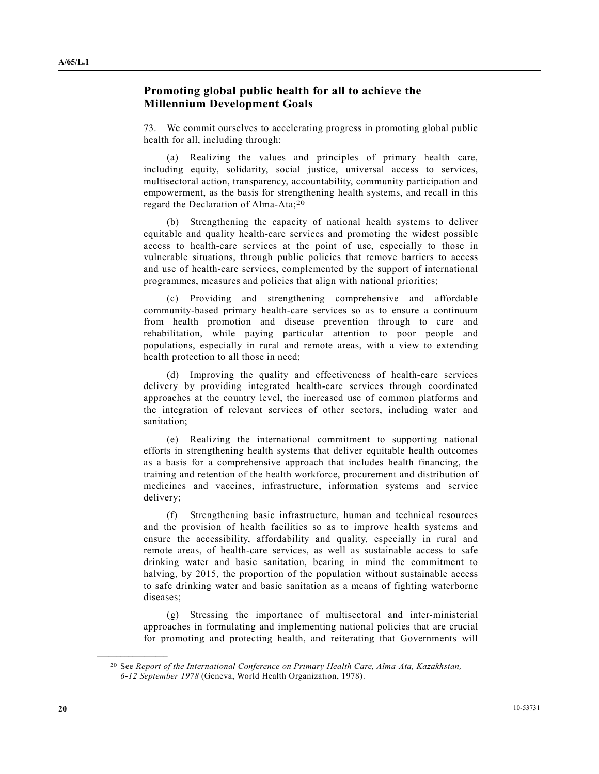## **Promoting global public health for all to achieve the Millennium Development Goals**

 73. We commit ourselves to accelerating progress in promoting global public health for all, including through:

 (a) Realizing the values and principles of primary health care, including equity, solidarity, social justice, universal access to services, multisectoral action, transparency, accountability, community participation and empowerment, as the basis for strengthening health systems, and recall in this regard the Declaration of Alma-Ata;20

 (b) Strengthening the capacity of national health systems to deliver equitable and quality health-care services and promoting the widest possible access to health-care services at the point of use, especially to those in vulnerable situations, through public policies that remove barriers to access and use of health-care services, complemented by the support of international programmes, measures and policies that align with national priorities;

 (c) Providing and strengthening comprehensive and affordable community-based primary health-care services so as to ensure a continuum from health promotion and disease prevention through to care and rehabilitation, while paying particular attention to poor people and populations, especially in rural and remote areas, with a view to extending health protection to all those in need;

 (d) Improving the quality and effectiveness of health-care services delivery by providing integrated health-care services through coordinated approaches at the country level, the increased use of common platforms and the integration of relevant services of other sectors, including water and sanitation;

 (e) Realizing the international commitment to supporting national efforts in strengthening health systems that deliver equitable health outcomes as a basis for a comprehensive approach that includes health financing, the training and retention of the health workforce, procurement and distribution of medicines and vaccines, infrastructure, information systems and service delivery;

 (f) Strengthening basic infrastructure, human and technical resources and the provision of health facilities so as to improve health systems and ensure the accessibility, affordability and quality, especially in rural and remote areas, of health-care services, as well as sustainable access to safe drinking water and basic sanitation, bearing in mind the commitment to halving, by 2015, the proportion of the population without sustainable access to safe drinking water and basic sanitation as a means of fighting waterborne diseases;

 (g) Stressing the importance of multisectoral and inter-ministerial approaches in formulating and implementing national policies that are crucial for promoting and protecting health, and reiterating that Governments will

<sup>20</sup> See *Report of the International Conference on Primary Health Care, Alma-Ata, Kazakhstan, 6-12 September 1978* (Geneva, World Health Organization, 1978).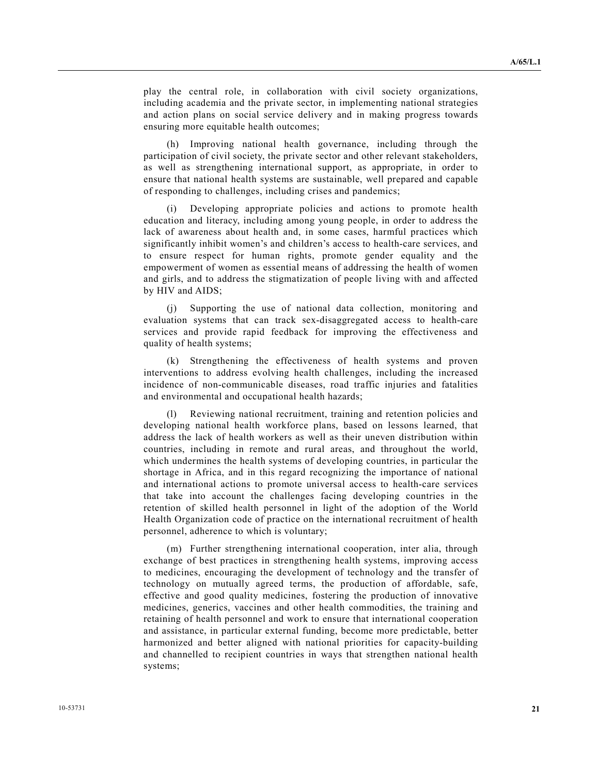play the central role, in collaboration with civil society organizations, including academia and the private sector, in implementing national strategies and action plans on social service delivery and in making progress towards ensuring more equitable health outcomes;

 (h) Improving national health governance, including through the participation of civil society, the private sector and other relevant stakeholders, as well as strengthening international support, as appropriate, in order to ensure that national health systems are sustainable, well prepared and capable of responding to challenges, including crises and pandemics;

 (i) Developing appropriate policies and actions to promote health education and literacy, including among young people, in order to address the lack of awareness about health and, in some cases, harmful practices which significantly inhibit women's and children's access to health-care services, and to ensure respect for human rights, promote gender equality and the empowerment of women as essential means of addressing the health of women and girls, and to address the stigmatization of people living with and affected by HIV and AIDS;

 (j) Supporting the use of national data collection, monitoring and evaluation systems that can track sex-disaggregated access to health-care services and provide rapid feedback for improving the effectiveness and quality of health systems;

 (k) Strengthening the effectiveness of health systems and proven interventions to address evolving health challenges, including the increased incidence of non-communicable diseases, road traffic injuries and fatalities and environmental and occupational health hazards;

 (l) Reviewing national recruitment, training and retention policies and developing national health workforce plans, based on lessons learned, that address the lack of health workers as well as their uneven distribution within countries, including in remote and rural areas, and throughout the world, which undermines the health systems of developing countries, in particular the shortage in Africa, and in this regard recognizing the importance of national and international actions to promote universal access to health-care services that take into account the challenges facing developing countries in the retention of skilled health personnel in light of the adoption of the World Health Organization code of practice on the international recruitment of health personnel, adherence to which is voluntary;

 (m) Further strengthening international cooperation, inter alia, through exchange of best practices in strengthening health systems, improving access to medicines, encouraging the development of technology and the transfer of technology on mutually agreed terms, the production of affordable, safe, effective and good quality medicines, fostering the production of innovative medicines, generics, vaccines and other health commodities, the training and retaining of health personnel and work to ensure that international cooperation and assistance, in particular external funding, become more predictable, better harmonized and better aligned with national priorities for capacity-building and channelled to recipient countries in ways that strengthen national health systems;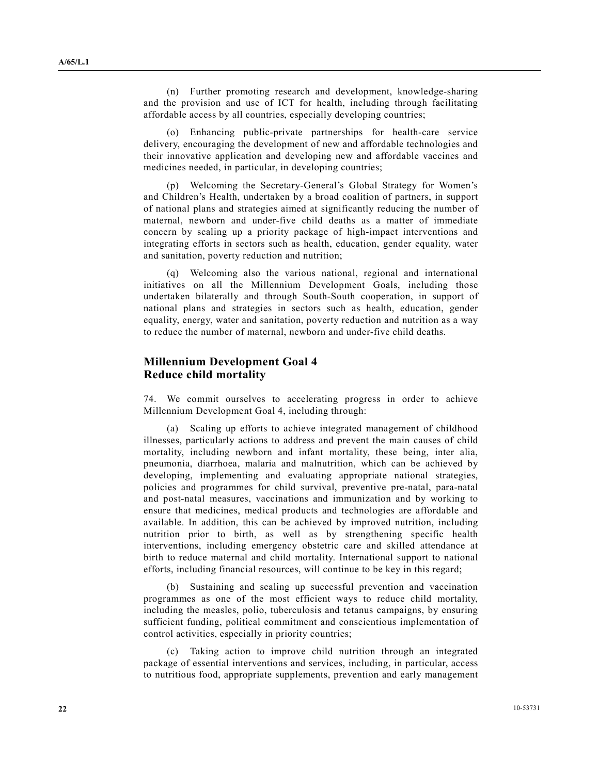(n) Further promoting research and development, knowledge-sharing and the provision and use of ICT for health, including through facilitating affordable access by all countries, especially developing countries;

 (o) Enhancing public-private partnerships for health-care service delivery, encouraging the development of new and affordable technologies and their innovative application and developing new and affordable vaccines and medicines needed, in particular, in developing countries;

 (p) Welcoming the Secretary-General's Global Strategy for Women's and Children's Health, undertaken by a broad coalition of partners, in support of national plans and strategies aimed at significantly reducing the number of maternal, newborn and under-five child deaths as a matter of immediate concern by scaling up a priority package of high-impact interventions and integrating efforts in sectors such as health, education, gender equality, water and sanitation, poverty reduction and nutrition;

 (q) Welcoming also the various national, regional and international initiatives on all the Millennium Development Goals, including those undertaken bilaterally and through South-South cooperation, in support of national plans and strategies in sectors such as health, education, gender equality, energy, water and sanitation, poverty reduction and nutrition as a way to reduce the number of maternal, newborn and under-five child deaths.

### **Millennium Development Goal 4 Reduce child mortality**

 74. We commit ourselves to accelerating progress in order to achieve Millennium Development Goal 4, including through:

 (a) Scaling up efforts to achieve integrated management of childhood illnesses, particularly actions to address and prevent the main causes of child mortality, including newborn and infant mortality, these being, inter alia, pneumonia, diarrhoea, malaria and malnutrition, which can be achieved by developing, implementing and evaluating appropriate national strategies, policies and programmes for child survival, preventive pre-natal, para-natal and post-natal measures, vaccinations and immunization and by working to ensure that medicines, medical products and technologies are affordable and available. In addition, this can be achieved by improved nutrition, including nutrition prior to birth, as well as by strengthening specific health interventions, including emergency obstetric care and skilled attendance at birth to reduce maternal and child mortality. International support to national efforts, including financial resources, will continue to be key in this regard;

 (b) Sustaining and scaling up successful prevention and vaccination programmes as one of the most efficient ways to reduce child mortality, including the measles, polio, tuberculosis and tetanus campaigns, by ensuring sufficient funding, political commitment and conscientious implementation of control activities, especially in priority countries;

 (c) Taking action to improve child nutrition through an integrated package of essential interventions and services, including, in particular, access to nutritious food, appropriate supplements, prevention and early management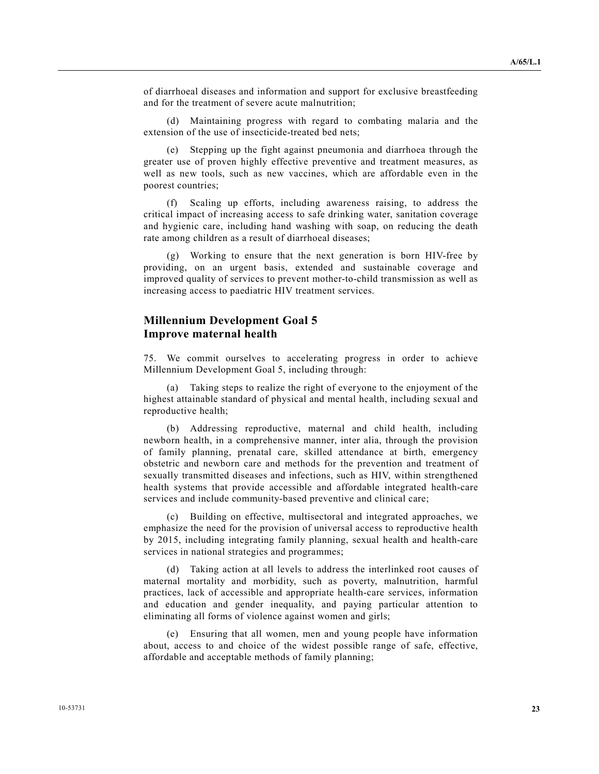of diarrhoeal diseases and information and support for exclusive breastfeeding and for the treatment of severe acute malnutrition;

Maintaining progress with regard to combating malaria and the extension of the use of insecticide-treated bed nets;

 (e) Stepping up the fight against pneumonia and diarrhoea through the greater use of proven highly effective preventive and treatment measures, as well as new tools, such as new vaccines, which are affordable even in the poorest countries;

 (f) Scaling up efforts, including awareness raising, to address the critical impact of increasing access to safe drinking water, sanitation coverage and hygienic care, including hand washing with soap, on reducing the death rate among children as a result of diarrhoeal diseases;

 (g) Working to ensure that the next generation is born HIV-free by providing, on an urgent basis, extended and sustainable coverage and improved quality of services to prevent mother-to-child transmission as well as increasing access to paediatric HIV treatment services.

## **Millennium Development Goal 5 Improve maternal health**

 75. We commit ourselves to accelerating progress in order to achieve Millennium Development Goal 5, including through:

 (a) Taking steps to realize the right of everyone to the enjoyment of the highest attainable standard of physical and mental health, including sexual and reproductive health;

 (b) Addressing reproductive, maternal and child health, including newborn health, in a comprehensive manner, inter alia, through the provision of family planning, prenatal care, skilled attendance at birth, emergency obstetric and newborn care and methods for the prevention and treatment of sexually transmitted diseases and infections, such as HIV, within strengthened health systems that provide accessible and affordable integrated health-care services and include community-based preventive and clinical care;

 (c) Building on effective, multisectoral and integrated approaches, we emphasize the need for the provision of universal access to reproductive health by 2015, including integrating family planning, sexual health and health-care services in national strategies and programmes;

 (d) Taking action at all levels to address the interlinked root causes of maternal mortality and morbidity, such as poverty, malnutrition, harmful practices, lack of accessible and appropriate health-care services, information and education and gender inequality, and paying particular attention to eliminating all forms of violence against women and girls;

 (e) Ensuring that all women, men and young people have information about, access to and choice of the widest possible range of safe, effective, affordable and acceptable methods of family planning;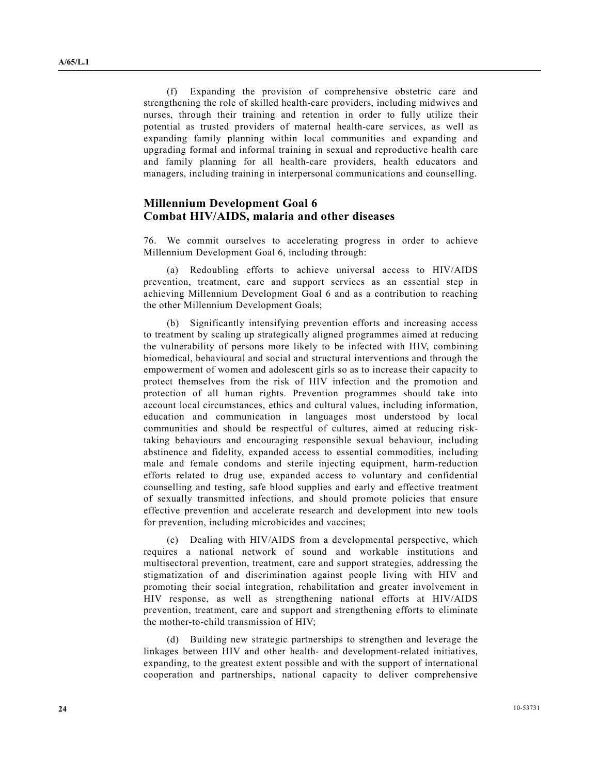(f) Expanding the provision of comprehensive obstetric care and strengthening the role of skilled health-care providers, including midwives and nurses, through their training and retention in order to fully utilize their potential as trusted providers of maternal health-care services, as well as expanding family planning within local communities and expanding and upgrading formal and informal training in sexual and reproductive health care and family planning for all health-care providers, health educators and managers, including training in interpersonal communications and counselling.

#### **Millennium Development Goal 6 Combat HIV/AIDS, malaria and other diseases**

 76. We commit ourselves to accelerating progress in order to achieve Millennium Development Goal 6, including through:

 (a) Redoubling efforts to achieve universal access to HIV/AIDS prevention, treatment, care and support services as an essential step in achieving Millennium Development Goal 6 and as a contribution to reaching the other Millennium Development Goals;

 (b) Significantly intensifying prevention efforts and increasing access to treatment by scaling up strategically aligned programmes aimed at reducing the vulnerability of persons more likely to be infected with HIV, combining biomedical, behavioural and social and structural interventions and through the empowerment of women and adolescent girls so as to increase their capacity to protect themselves from the risk of HIV infection and the promotion and protection of all human rights. Prevention programmes should take into account local circumstances, ethics and cultural values, including information, education and communication in languages most understood by local communities and should be respectful of cultures, aimed at reducing risktaking behaviours and encouraging responsible sexual behaviour, including abstinence and fidelity, expanded access to essential commodities, including male and female condoms and sterile injecting equipment, harm-reduction efforts related to drug use, expanded access to voluntary and confidential counselling and testing, safe blood supplies and early and effective treatment of sexually transmitted infections, and should promote policies that ensure effective prevention and accelerate research and development into new tools for prevention, including microbicides and vaccines;

 (c) Dealing with HIV/AIDS from a developmental perspective, which requires a national network of sound and workable institutions and multisectoral prevention, treatment, care and support strategies, addressing the stigmatization of and discrimination against people living with HIV and promoting their social integration, rehabilitation and greater involvement in HIV response, as well as strengthening national efforts at HIV/AIDS prevention, treatment, care and support and strengthening efforts to eliminate the mother-to-child transmission of HIV;

 (d) Building new strategic partnerships to strengthen and leverage the linkages between HIV and other health- and development-related initiatives, expanding, to the greatest extent possible and with the support of international cooperation and partnerships, national capacity to deliver comprehensive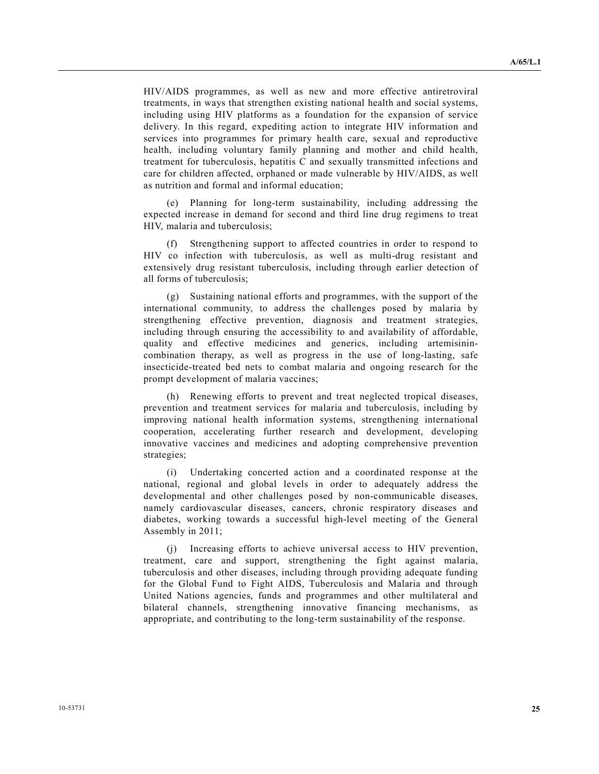HIV/AIDS programmes, as well as new and more effective antiretroviral treatments, in ways that strengthen existing national health and social systems, including using HIV platforms as a foundation for the expansion of service delivery. In this regard, expediting action to integrate HIV information and services into programmes for primary health care, sexual and reproductive health, including voluntary family planning and mother and child health, treatment for tuberculosis, hepatitis C and sexually transmitted infections and care for children affected, orphaned or made vulnerable by HIV/AIDS, as well as nutrition and formal and informal education;

Planning for long-term sustainability, including addressing the expected increase in demand for second and third line drug regimens to treat HIV, malaria and tuberculosis;

 (f) Strengthening support to affected countries in order to respond to HIV co infection with tuberculosis, as well as multi-drug resistant and extensively drug resistant tuberculosis, including through earlier detection of all forms of tuberculosis;

 (g) Sustaining national efforts and programmes, with the support of the international community, to address the challenges posed by malaria by strengthening effective prevention, diagnosis and treatment strategies, including through ensuring the accessibility to and availability of affordable, quality and effective medicines and generics, including artemisinincombination therapy, as well as progress in the use of long-lasting, safe insecticide-treated bed nets to combat malaria and ongoing research for the prompt development of malaria vaccines;

 (h) Renewing efforts to prevent and treat neglected tropical diseases, prevention and treatment services for malaria and tuberculosis, including by improving national health information systems, strengthening international cooperation, accelerating further research and development, developing innovative vaccines and medicines and adopting comprehensive prevention strategies;

 (i) Undertaking concerted action and a coordinated response at the national, regional and global levels in order to adequately address the developmental and other challenges posed by non-communicable diseases, namely cardiovascular diseases, cancers, chronic respiratory diseases and diabetes, working towards a successful high-level meeting of the General Assembly in 2011;

 (j) Increasing efforts to achieve universal access to HIV prevention, treatment, care and support, strengthening the fight against malaria, tuberculosis and other diseases, including through providing adequate funding for the Global Fund to Fight AIDS, Tuberculosis and Malaria and through United Nations agencies, funds and programmes and other multilateral and bilateral channels, strengthening innovative financing mechanisms, as appropriate, and contributing to the long-term sustainability of the response.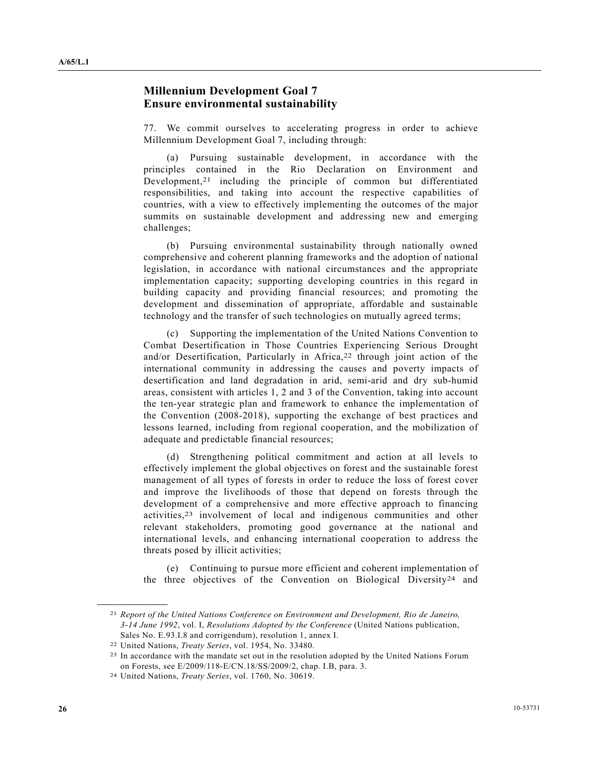## **Millennium Development Goal 7 Ensure environmental sustainability**

 77. We commit ourselves to accelerating progress in order to achieve Millennium Development Goal 7, including through:

 (a) Pursuing sustainable development, in accordance with the principles contained in the Rio Declaration on Environment and Development,<sup>21</sup> including the principle of common but differentiated responsibilities, and taking into account the respective capabilities of countries, with a view to effectively implementing the outcomes of the major summits on sustainable development and addressing new and emerging challenges;

 (b) Pursuing environmental sustainability through nationally owned comprehensive and coherent planning frameworks and the adoption of national legislation, in accordance with national circumstances and the appropriate implementation capacity; supporting developing countries in this regard in building capacity and providing financial resources; and promoting the development and dissemination of appropriate, affordable and sustainable technology and the transfer of such technologies on mutually agreed terms;

 (c) Supporting the implementation of the United Nations Convention to Combat Desertification in Those Countries Experiencing Serious Drought and/or Desertification, Particularly in Africa,<sup>22</sup> through joint action of the international community in addressing the causes and poverty impacts of desertification and land degradation in arid, semi-arid and dry sub-humid areas, consistent with articles 1, 2 and 3 of the Convention, taking into account the ten-year strategic plan and framework to enhance the implementation of the Convention (2008-2018), supporting the exchange of best practices and lessons learned, including from regional cooperation, and the mobilization of adequate and predictable financial resources;

 (d) Strengthening political commitment and action at all levels to effectively implement the global objectives on forest and the sustainable forest management of all types of forests in order to reduce the loss of forest cover and improve the livelihoods of those that depend on forests through the development of a comprehensive and more effective approach to financing activities,23 involvement of local and indigenous communities and other relevant stakeholders, promoting good governance at the national and international levels, and enhancing international cooperation to address the threats posed by illicit activities;

 (e) Continuing to pursue more efficient and coherent implementation of the three objectives of the Convention on Biological Diversity<sup>24</sup> and

<sup>21</sup> *Report of the United Nations Conference on Environment and Development, Rio de Janeiro, 3-14 June 1992*, vol. I, *Resolutions Adopted by the Conference* (United Nations publication, Sales No. E.93.I.8 and corrigendum), resolution 1, annex I.

<sup>22</sup> United Nations, *Treaty Series*, vol. 1954, No. 33480.

<sup>&</sup>lt;sup>23</sup> In accordance with the mandate set out in the resolution adopted by the United Nations Forum on Forests, see E/2009/118-E/CN.18/SS/2009/2, chap. I.B, para. 3.

<sup>24</sup> United Nations, *Treaty Series*, vol. 1760, No. 30619.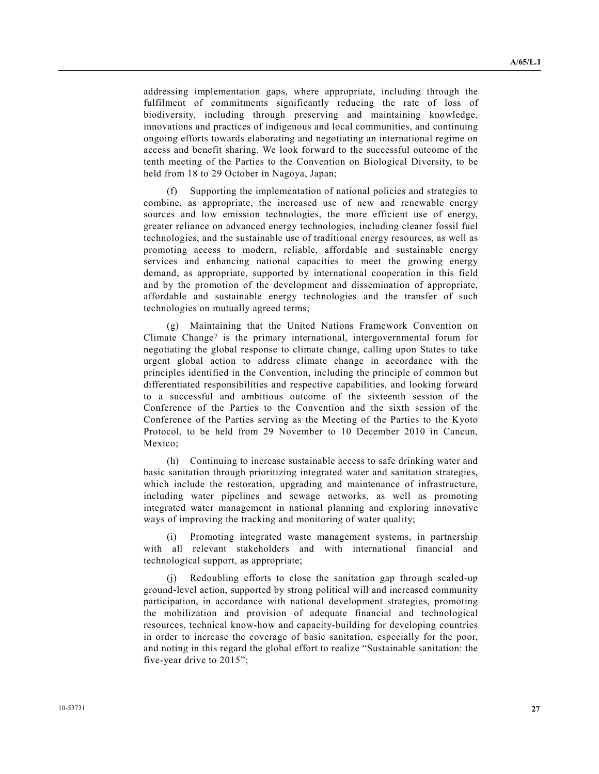addressing implementation gaps, where appropriate, including through the fulfilment of commitments significantly reducing the rate of loss of biodiversity, including through preserving and maintaining knowledge, innovations and practices of indigenous and local communities, and continuing ongoing efforts towards elaborating and negotiating an international regime on access and benefit sharing. We look forward to the successful outcome of the tenth meeting of the Parties to the Convention on Biological Diversity, to be held from 18 to 29 October in Nagoya, Japan;

 (f) Supporting the implementation of national policies and strategies to combine, as appropriate, the increased use of new and renewable energy sources and low emission technologies, the more efficient use of energy, greater reliance on advanced energy technologies, including cleaner fossil fuel technologies, and the sustainable use of traditional energy resources, as well as promoting access to modern, reliable, affordable and sustainable energy services and enhancing national capacities to meet the growing energy demand, as appropriate, supported by international cooperation in this field and by the promotion of the development and dissemination of appropriate, affordable and sustainable energy technologies and the transfer of such technologies on mutually agreed terms;

 (g) Maintaining that the United Nations Framework Convention on Climate Change<sup>7</sup> is the primary international, intergovernmental forum for negotiating the global response to climate change, calling upon States to take urgent global action to address climate change in accordance with the principles identified in the Convention, including the principle of common but differentiated responsibilities and respective capabilities, and looking forward to a successful and ambitious outcome of the sixteenth session of the Conference of the Parties to the Convention and the sixth session of the Conference of the Parties serving as the Meeting of the Parties to the Kyoto Protocol, to be held from 29 November to 10 December 2010 in Cancun, Mexico:

 (h) Continuing to increase sustainable access to safe drinking water and basic sanitation through prioritizing integrated water and sanitation strategies, which include the restoration, upgrading and maintenance of infrastructure, including water pipelines and sewage networks, as well as promoting integrated water management in national planning and exploring innovative ways of improving the tracking and monitoring of water quality;

 (i) Promoting integrated waste management systems, in partnership with all relevant stakeholders and with international financial and technological support, as appropriate;

 (j) Redoubling efforts to close the sanitation gap through scaled-up ground-level action, supported by strong political will and increased community participation, in accordance with national development strategies, promoting the mobilization and provision of adequate financial and technological resources, technical know-how and capacity-building for developing countries in order to increase the coverage of basic sanitation, especially for the poor, and noting in this regard the global effort to realize "Sustainable sanitation: the five-year drive to 2015";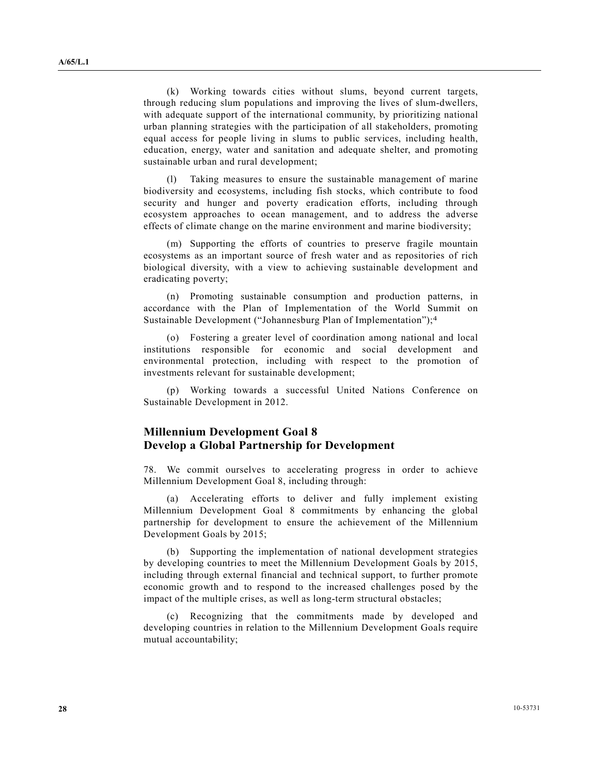(k) Working towards cities without slums, beyond current targets, through reducing slum populations and improving the lives of slum-dwellers, with adequate support of the international community, by prioritizing national urban planning strategies with the participation of all stakeholders, promoting equal access for people living in slums to public services, including health, education, energy, water and sanitation and adequate shelter, and promoting sustainable urban and rural development;

 (l) Taking measures to ensure the sustainable management of marine biodiversity and ecosystems, including fish stocks, which contribute to food security and hunger and poverty eradication efforts, including through ecosystem approaches to ocean management, and to address the adverse effects of climate change on the marine environment and marine biodiversity;

 (m) Supporting the efforts of countries to preserve fragile mountain ecosystems as an important source of fresh water and as repositories of rich biological diversity, with a view to achieving sustainable development and eradicating poverty;

 (n) Promoting sustainable consumption and production patterns, in accordance with the Plan of Implementation of the World Summit on Sustainable Development ("Johannesburg Plan of Implementation");4

 (o) Fostering a greater level of coordination among national and local institutions responsible for economic and social development and environmental protection, including with respect to the promotion of investments relevant for sustainable development;

 (p) Working towards a successful United Nations Conference on Sustainable Development in 2012.

### **Millennium Development Goal 8 Develop a Global Partnership for Development**

 78. We commit ourselves to accelerating progress in order to achieve Millennium Development Goal 8, including through:

 (a) Accelerating efforts to deliver and fully implement existing Millennium Development Goal 8 commitments by enhancing the global partnership for development to ensure the achievement of the Millennium Development Goals by 2015;

 (b) Supporting the implementation of national development strategies by developing countries to meet the Millennium Development Goals by 2015, including through external financial and technical support, to further promote economic growth and to respond to the increased challenges posed by the impact of the multiple crises, as well as long-term structural obstacles;

 (c) Recognizing that the commitments made by developed and developing countries in relation to the Millennium Development Goals require mutual accountability;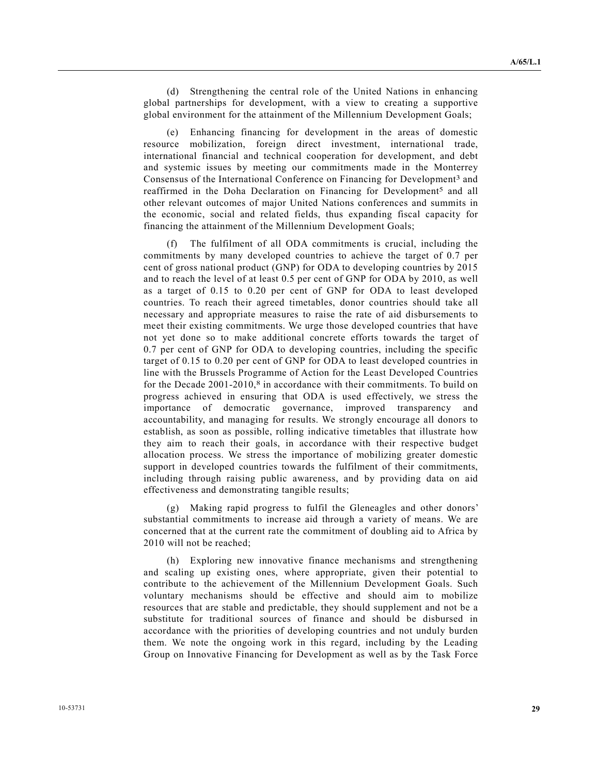(d) Strengthening the central role of the United Nations in enhancing global partnerships for development, with a view to creating a supportive global environment for the attainment of the Millennium Development Goals;

 (e) Enhancing financing for development in the areas of domestic resource mobilization, foreign direct investment, international trade, international financial and technical cooperation for development, and debt and systemic issues by meeting our commitments made in the Monterrey Consensus of the International Conference on Financing for Development<sup>3</sup> and reaffirmed in the Doha Declaration on Financing for Development<sup>5</sup> and all other relevant outcomes of major United Nations conferences and summits in the economic, social and related fields, thus expanding fiscal capacity for financing the attainment of the Millennium Development Goals;

The fulfilment of all ODA commitments is crucial, including the commitments by many developed countries to achieve the target of 0.7 per cent of gross national product (GNP) for ODA to developing countries by 2015 and to reach the level of at least 0.5 per cent of GNP for ODA by 2010, as well as a target of 0.15 to 0.20 per cent of GNP for ODA to least developed countries. To reach their agreed timetables, donor countries should take all necessary and appropriate measures to raise the rate of aid disbursements to meet their existing commitments. We urge those developed countries that have not yet done so to make additional concrete efforts towards the target of 0.7 per cent of GNP for ODA to developing countries, including the specific target of 0.15 to 0.20 per cent of GNP for ODA to least developed countries in line with the Brussels Programme of Action for the Least Developed Countries for the Decade 2001-2010,<sup>8</sup> in accordance with their commitments. To build on progress achieved in ensuring that ODA is used effectively, we stress the importance of democratic governance, improved transparency and accountability, and managing for results. We strongly encourage all donors to establish, as soon as possible, rolling indicative timetables that illustrate how they aim to reach their goals, in accordance with their respective budget allocation process. We stress the importance of mobilizing greater domestic support in developed countries towards the fulfilment of their commitments, including through raising public awareness, and by providing data on aid effectiveness and demonstrating tangible results;

 (g) Making rapid progress to fulfil the Gleneagles and other donors' substantial commitments to increase aid through a variety of means. We are concerned that at the current rate the commitment of doubling aid to Africa by 2010 will not be reached;

 (h) Exploring new innovative finance mechanisms and strengthening and scaling up existing ones, where appropriate, given their potential to contribute to the achievement of the Millennium Development Goals. Such voluntary mechanisms should be effective and should aim to mobilize resources that are stable and predictable, they should supplement and not be a substitute for traditional sources of finance and should be disbursed in accordance with the priorities of developing countries and not unduly burden them. We note the ongoing work in this regard, including by the Leading Group on Innovative Financing for Development as well as by the Task Force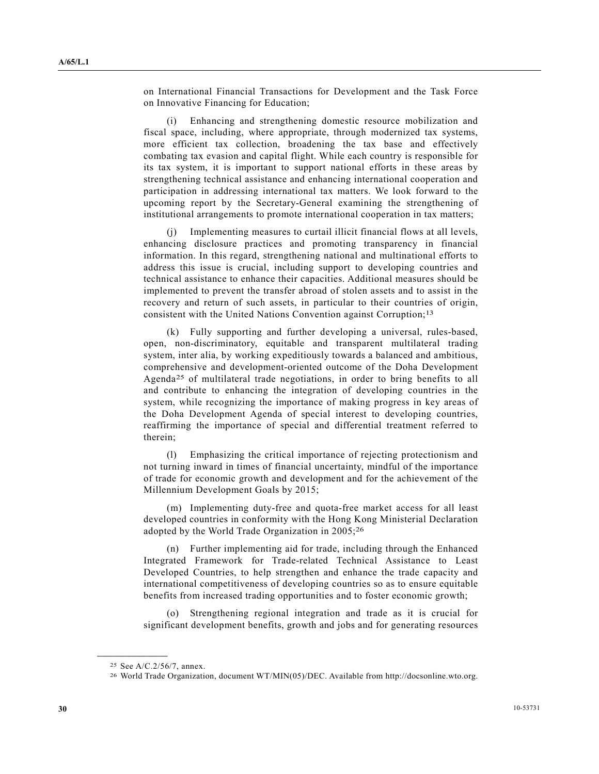on International Financial Transactions for Development and the Task Force on Innovative Financing for Education;

 (i) Enhancing and strengthening domestic resource mobilization and fiscal space, including, where appropriate, through modernized tax systems, more efficient tax collection, broadening the tax base and effectively combating tax evasion and capital flight. While each country is responsible for its tax system, it is important to support national efforts in these areas by strengthening technical assistance and enhancing international cooperation and participation in addressing international tax matters. We look forward to the upcoming report by the Secretary-General examining the strengthening of institutional arrangements to promote international cooperation in tax matters;

 (j) Implementing measures to curtail illicit financial flows at all levels, enhancing disclosure practices and promoting transparency in financial information. In this regard, strengthening national and multinational efforts to address this issue is crucial, including support to developing countries and technical assistance to enhance their capacities. Additional measures should be implemented to prevent the transfer abroad of stolen assets and to assist in the recovery and return of such assets, in particular to their countries of origin, consistent with the United Nations Convention against Corruption;13

 (k) Fully supporting and further developing a universal, rules-based, open, non-discriminatory, equitable and transparent multilateral trading system, inter alia, by working expeditiously towards a balanced and ambitious, comprehensive and development-oriented outcome of the Doha Development Agenda25 of multilateral trade negotiations, in order to bring benefits to all and contribute to enhancing the integration of developing countries in the system, while recognizing the importance of making progress in key areas of the Doha Development Agenda of special interest to developing countries, reaffirming the importance of special and differential treatment referred to therein;

 (l) Emphasizing the critical importance of rejecting protectionism and not turning inward in times of financial uncertainty, mindful of the importance of trade for economic growth and development and for the achievement of the Millennium Development Goals by 2015;

 (m) Implementing duty-free and quota-free market access for all least developed countries in conformity with the Hong Kong Ministerial Declaration adopted by the World Trade Organization in 2005;26

 (n) Further implementing aid for trade, including through the Enhanced Integrated Framework for Trade-related Technical Assistance to Least Developed Countries, to help strengthen and enhance the trade capacity and international competitiveness of developing countries so as to ensure equitable benefits from increased trading opportunities and to foster economic growth;

 (o) Strengthening regional integration and trade as it is crucial for significant development benefits, growth and jobs and for generating resources

<sup>25</sup> See A/C.2/56/7, annex.

<sup>26</sup> World Trade Organization, document WT/MIN(05)/DEC. Available from http://docsonline.wto.org.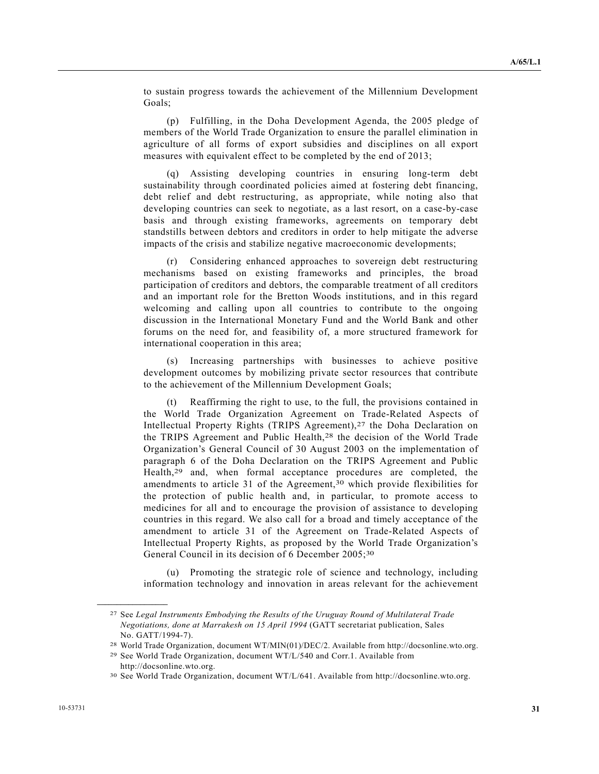to sustain progress towards the achievement of the Millennium Development Goals;

 (p) Fulfilling, in the Doha Development Agenda, the 2005 pledge of members of the World Trade Organization to ensure the parallel elimination in agriculture of all forms of export subsidies and disciplines on all export measures with equivalent effect to be completed by the end of 2013;

 (q) Assisting developing countries in ensuring long-term debt sustainability through coordinated policies aimed at fostering debt financing, debt relief and debt restructuring, as appropriate, while noting also that developing countries can seek to negotiate, as a last resort, on a case-by-case basis and through existing frameworks, agreements on temporary debt standstills between debtors and creditors in order to help mitigate the adverse impacts of the crisis and stabilize negative macroeconomic developments;

 (r) Considering enhanced approaches to sovereign debt restructuring mechanisms based on existing frameworks and principles, the broad participation of creditors and debtors, the comparable treatment of all creditors and an important role for the Bretton Woods institutions, and in this regard welcoming and calling upon all countries to contribute to the ongoing discussion in the International Monetary Fund and the World Bank and other forums on the need for, and feasibility of, a more structured framework for international cooperation in this area;

 (s) Increasing partnerships with businesses to achieve positive development outcomes by mobilizing private sector resources that contribute to the achievement of the Millennium Development Goals;

 (t) Reaffirming the right to use, to the full, the provisions contained in the World Trade Organization Agreement on Trade-Related Aspects of Intellectual Property Rights (TRIPS Agreement),27 the Doha Declaration on the TRIPS Agreement and Public Health,28 the decision of the World Trade Organization's General Council of 30 August 2003 on the implementation of paragraph 6 of the Doha Declaration on the TRIPS Agreement and Public Health,29 and, when formal acceptance procedures are completed, the amendments to article 31 of the Agreement,<sup>30</sup> which provide flexibilities for the protection of public health and, in particular, to promote access to medicines for all and to encourage the provision of assistance to developing countries in this regard. We also call for a broad and timely acceptance of the amendment to article 31 of the Agreement on Trade-Related Aspects of Intellectual Property Rights, as proposed by the World Trade Organization's General Council in its decision of 6 December 2005;<sup>30</sup>

 (u) Promoting the strategic role of science and technology, including information technology and innovation in areas relevant for the achievement

<sup>27</sup> See *Legal Instruments Embodying the Results of the Uruguay Round of Multilateral Trade Negotiations, done at Marrakesh on 15 April 1994* (GATT secretariat publication, Sales No. GATT/1994-7).

<sup>28</sup> World Trade Organization, document WT/MIN(01)/DEC/2. Available from http://docsonline.wto.org.

<sup>29</sup> See World Trade Organization, document WT/L/540 and Corr.1. Available from http://docsonline.wto.org.

<sup>30</sup> See World Trade Organization, document WT/L/641. Available from http://docsonline.wto.org.